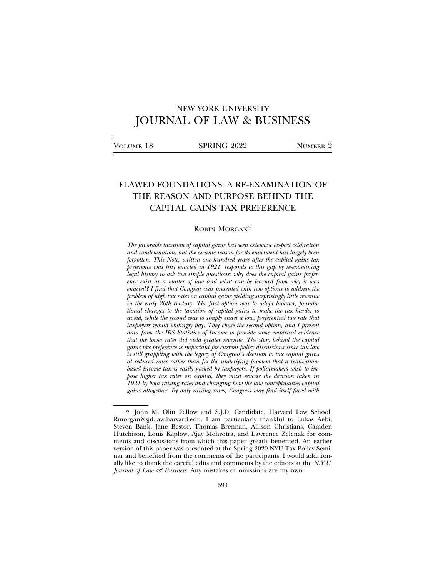# NEW YORK UNIVERSITY JOURNAL OF LAW & BUSINESS

| VOLUME 18 | SPRING 2022 | NUMBER 2 |
|-----------|-------------|----------|
|           |             |          |

# FLAWED FOUNDATIONS: A RE-EXAMINATION OF THE REASON AND PURPOSE BEHIND THE CAPITAL GAINS TAX PREFERENCE

## ROBIN MORGAN\*

*The favorable taxation of capital gains has seen extensive ex-post celebration and condemnation, but the ex-ante reason for its enactment has largely been forgotten. This Note, written one hundred years after the capital gains tax preference was first enacted in 1921, responds to this gap by re-examining legal history to ask two simple questions: why does the capital gains preference exist as a matter of law and what can be learned from why it was enacted? I find that Congress was presented with two options to address the problem of high tax rates on capital gains yielding surprisingly little revenue in the early 20th century. The first option was to adopt broader, foundational changes to the taxation of capital gains to make the tax harder to avoid, while the second was to simply enact a low, preferential tax rate that taxpayers would willingly pay. They chose the second option, and I present data from the IRS Statistics of Income to provide some empirical evidence that the lower rates did yield greater revenue. The story behind the capital gains tax preference is important for current policy discussions since tax law is still grappling with the legacy of Congress's decision to tax capital gains at reduced rates rather than fix the underlying problem that a realizationbased income tax is easily gamed by taxpayers. If policymakers wish to impose higher tax rates on capital, they must reverse the decision taken in 1921 by both raising rates and changing how the law conceptualizes capital gains altogether. By only raising rates, Congress may find itself faced with*

<sup>\*</sup> John M. Olin Fellow and S.J.D. Candidate, Harvard Law School. Rmorgan@sjd.law.harvard.edu. I am particularly thankful to Lukas Aebi, Steven Bank, Jane Bestor, Thomas Brennan, Allison Christians, Camden Hutchison, Louis Kaplow, Ajay Mehrotra, and Lawrence Zelenak for comments and discussions from which this paper greatly benefited. An earlier version of this paper was presented at the Spring 2020 NYU Tax Policy Seminar and benefited from the comments of the participants. I would additionally like to thank the careful edits and comments by the editors at the *N.Y.U. Journal of Law & Business*. Any mistakes or omissions are my own.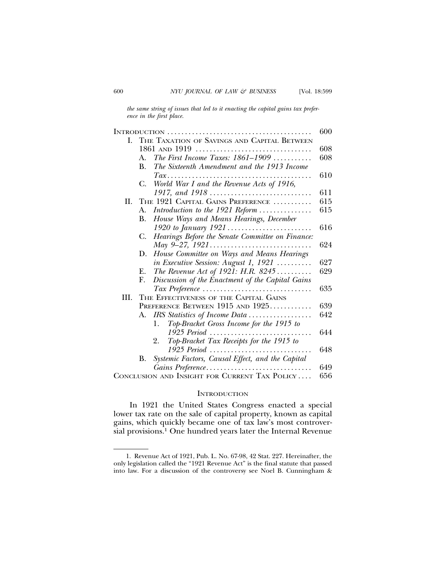*the same string of issues that led to it enacting the capital gains tax preference in the first place.*

|                                                      |                      |                                                                                       | 600 |  |  |  |
|------------------------------------------------------|----------------------|---------------------------------------------------------------------------------------|-----|--|--|--|
| L.                                                   |                      | THE TAXATION OF SAVINGS AND CAPITAL BETWEEN                                           |     |  |  |  |
|                                                      | 1861 AND 1919<br>608 |                                                                                       |     |  |  |  |
|                                                      | $A_{-}$              | The First Income Taxes: 1861-1909                                                     | 608 |  |  |  |
|                                                      | В.                   | The Sixteenth Amendment and the 1913 Income                                           |     |  |  |  |
|                                                      |                      | $\mathit{Tax.}\dots\dots\dots\dots\dots\dots\dots\dots\dots\dots\dots\dots\dots\dots$ | 610 |  |  |  |
|                                                      | C.                   | World War I and the Revenue Acts of 1916,                                             |     |  |  |  |
|                                                      |                      |                                                                                       | 611 |  |  |  |
| II.                                                  |                      | THE 1921 CAPITAL GAINS PREFERENCE                                                     | 615 |  |  |  |
|                                                      | А.                   | Introduction to the $1921$ Reform                                                     | 615 |  |  |  |
|                                                      | В.                   | House Ways and Means Hearings, December                                               |     |  |  |  |
|                                                      |                      |                                                                                       | 616 |  |  |  |
|                                                      | C.                   | Hearings Before the Senate Committee on Finance:                                      |     |  |  |  |
|                                                      |                      |                                                                                       | 624 |  |  |  |
|                                                      | D.                   | House Committee on Ways and Means Hearings                                            |     |  |  |  |
|                                                      |                      | in Executive Session: August 1, 1921                                                  | 627 |  |  |  |
|                                                      | Е.                   | The Revenue Act of 1921: H.R. 8245                                                    | 629 |  |  |  |
|                                                      | F.                   | Discussion of the Enactment of the Capital Gains                                      |     |  |  |  |
|                                                      |                      | $\textit{Tax Preference} \dots \dots \dots \dots \dots \dots \dots \dots \dots \dots$ | 635 |  |  |  |
| III.                                                 |                      | THE EFFECTIVENESS OF THE CAPITAL GAINS                                                |     |  |  |  |
|                                                      |                      | PREFERENCE BETWEEN 1915 AND 1925                                                      | 639 |  |  |  |
|                                                      | А.                   | IRS Statistics of Income Data                                                         | 642 |  |  |  |
|                                                      |                      | Top-Bracket Gross Income for the 1915 to<br>1.                                        |     |  |  |  |
|                                                      |                      | 1925 Period $\ldots$                                                                  | 644 |  |  |  |
|                                                      |                      | Top-Bracket Tax Receipts for the 1915 to<br>2.                                        |     |  |  |  |
|                                                      |                      | 1925 Period                                                                           | 648 |  |  |  |
|                                                      | В.                   | Systemic Factors, Causal Effect, and the Capital                                      |     |  |  |  |
|                                                      |                      | Gains Preference                                                                      | 649 |  |  |  |
| CONCLUSION AND INSIGHT FOR CURRENT TAX POLICY<br>656 |                      |                                                                                       |     |  |  |  |

#### **INTRODUCTION**

In 1921 the United States Congress enacted a special lower tax rate on the sale of capital property, known as capital gains, which quickly became one of tax law's most controversial provisions.<sup>1</sup> One hundred years later the Internal Revenue

<sup>1.</sup> Revenue Act of 1921, Pub. L. No. 67-98, 42 Stat. 227. Hereinafter, the only legislation called the "1921 Revenue Act" is the final statute that passed into law. For a discussion of the controversy see Noel B. Cunningham &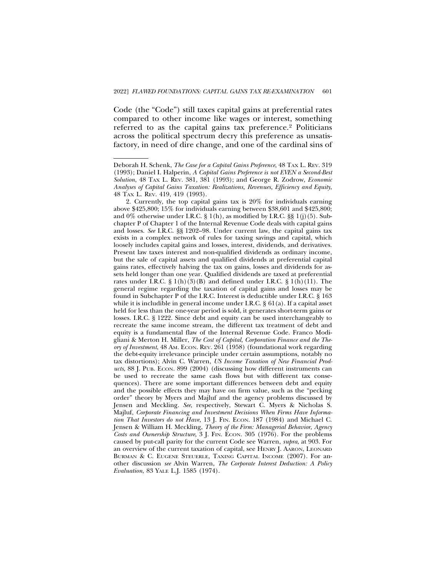Code (the "Code") still taxes capital gains at preferential rates compared to other income like wages or interest, something referred to as the capital gains tax preference.2 Politicians across the political spectrum decry this preference as unsatisfactory, in need of dire change, and one of the cardinal sins of

Deborah H. Schenk, *The Case for a Capital Gains Preference*, 48 TAX L. REV. 319 (1993); Daniel I. Halperin, *A Capital Gains Preference is not EVEN a Second-Best Solution*, 48 TAX L. REV. 381, 381 (1993); and George R. Zodrow, *Economic Analyses of Capital Gains Taxation: Realizations, Revenues, Efficiency and Equity*, 48 TAX L. REV. 419, 419 (1993).

<sup>2.</sup> Currently, the top capital gains tax is 20% for individuals earning above \$425,800; 15% for individuals earning between \$38,601 and \$425,800; and  $0\%$  otherwise under I.R.C. § 1(h), as modified by I.R.C. §§ 1(j)(5). Subchapter P of Chapter 1 of the Internal Revenue Code deals with capital gains and losses. *See* I.R.C. §§ 1202–98. Under current law, the capital gains tax exists in a complex network of rules for taxing savings and capital, which loosely includes capital gains and losses, interest, dividends, and derivatives. Present law taxes interest and non-qualified dividends as ordinary income, but the sale of capital assets and qualified dividends at preferential capital gains rates, effectively halving the tax on gains, losses and dividends for assets held longer than one year. Qualified dividends are taxed at preferential rates under I.R.C. § 1(h)(3)(B) and defined under I.R.C. § 1(h)(11). The general regime regarding the taxation of capital gains and losses may be found in Subchapter P of the I.R.C. Interest is deductible under I.R.C. § 163 while it is includible in general income under I.R.C. § 61(a). If a capital asset held for less than the one-year period is sold, it generates short-term gains or losses. I.R.C. § 1222. Since debt and equity can be used interchangeably to recreate the same income stream, the different tax treatment of debt and equity is a fundamental flaw of the Internal Revenue Code. Franco Modigliani & Merton H. Miller, *The Cost of Capital, Corporation Finance and the Theory of Investment*, 48 AM. ECON. REV. 261 (1958) (foundational work regarding the debt-equity irrelevance principle under certain assumptions, notably no tax distortions); Alvin C. Warren, *US Income Taxation of New Financial Prod*ucts, 88 J. Pub. Econ. 899 (2004) (discussing how different instruments can be used to recreate the same cash flows but with different tax consequences). There are some important differences between debt and equity and the possible effects they may have on firm value, such as the "pecking order" theory by Myers and Majluf and the agency problems discussed by Jensen and Meckling. *See*, respectively, Stewart C. Myers & Nicholas S. Majluf, *Corporate Financing and Investment Decisions When Firms Have Informa*tion That Investors do not Have, 13 J. FIN. ECON. 187 (1984) and Michael C. Jensen & William H. Meckling, *Theory of the Firm: Managerial Behavior, Agency Costs and Ownership Structure*, 3 J. FIN. ECON. 305 (1976). For the problems caused by put-call parity for the current Code see Warren, *supra*, at 903. For an overview of the current taxation of capital, see HENRY J. AARON, LEONARD BURMAN & C. EUGENE STEUERLE, TAXING CAPITAL INCOME (2007). For another discussion *see* Alvin Warren, *The Corporate Interest Deduction: A Policy Evaluation*, 83 YALE L.J. 1585 (1974).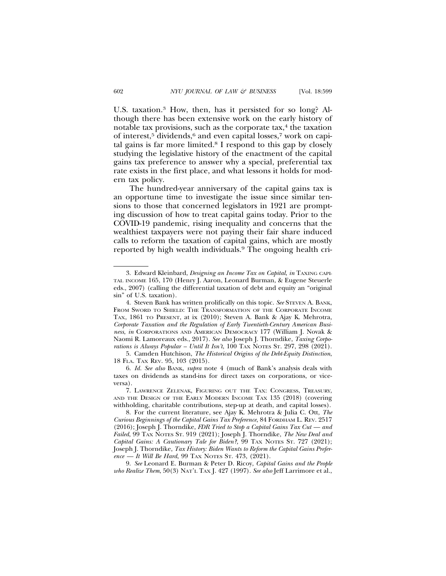U.S. taxation.3 How, then, has it persisted for so long? Although there has been extensive work on the early history of notable tax provisions, such as the corporate  $tax$ ,  $4$  the taxation of interest,<sup>5</sup> dividends,<sup>6</sup> and even capital losses,<sup>7</sup> work on capital gains is far more limited.8 I respond to this gap by closely studying the legislative history of the enactment of the capital gains tax preference to answer why a special, preferential tax rate exists in the first place, and what lessons it holds for modern tax policy.

The hundred-year anniversary of the capital gains tax is an opportune time to investigate the issue since similar tensions to those that concerned legislators in 1921 are prompting discussion of how to treat capital gains today. Prior to the COVID-19 pandemic, rising inequality and concerns that the wealthiest taxpayers were not paying their fair share induced calls to reform the taxation of capital gains, which are mostly reported by high wealth individuals.9 The ongoing health cri-

9. *See* Leonard E. Burman & Peter D. Ricoy, *Capital Gains and the People who Realize Them*, 50(3) NAT'L TAX J. 427 (1997). *See also* Jeff Larrimore et al.,

<sup>3.</sup> Edward Kleinbard, *Designing an Income Tax on Capital*, *in* TAXING CAPI-TAL INCOME 165, 170 (Henry J. Aaron, Leonard Burman, & Eugene Steuerle eds., 2007) (calling the differential taxation of debt and equity an "original sin" of U.S. taxation).

<sup>4.</sup> Steven Bank has written prolifically on this topic. *See* STEVEN A. BANK, FROM SWORD TO SHIELD: THE TRANSFORMATION OF THE CORPORATE INCOME TAX, 1861 TO PRESENT, at ix (2010); Steven A. Bank & Ajay K. Mehrotra, *Corporate Taxation and the Regulation of Early Twentieth-Century American Business*, *in* CORPORATIONS AND AMERICAN DEMOCRACY 177 (William J. Novak & Naomi R. Lamoreaux eds., 2017). *See also* Joseph J. Thorndike, *Taxing Corporations is Always Popular – Until It Isn't*, 100 TAX NOTES ST. 297, 298 (2021).

<sup>5.</sup> Camden Hutchison, *The Historical Origins of the Debt-Equity Distinction*, 18 FLA. TAX REV. 95, 103 (2015).

<sup>6.</sup> *Id. See also* BANK, *supra* note 4 (much of Bank's analysis deals with taxes on dividends as stand-ins for direct taxes on corporations, or viceversa).

<sup>7.</sup> LAWRENCE ZELENAK, FIGURING OUT THE TAX: CONGRESS, TREASURY, AND THE DESIGN OF THE EARLY MODERN INCOME TAX 135 (2018) (covering withholding, charitable contributions, step-up at death, and capital losses).

<sup>8.</sup> For the current literature, see Ajay K. Mehrotra & Julia C. Ott, *The Curious Beginnings of the Capital Gains Tax Preference*, 84 FORDHAM L. REV. 2517 (2016); Joseph J. Thorndike, *FDR Tried to Stop a Capital Gains Tax Cut — and Failed*, 99 TAX NOTES ST. 919 (2021); Joseph J. Thorndike, *The New Deal and Capital Gains: A Cautionary Tale for Biden?*, 99 TAX NOTES ST. 727 (2021); Joseph J. Thorndike, *Tax History: Biden Wants to Reform the Capital Gains Preference — It Will Be Hard*, 99 TAX NOTES ST. 473, (2021).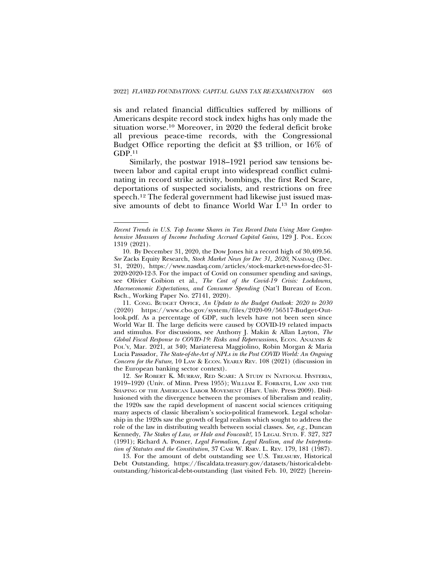sis and related financial difficulties suffered by millions of Americans despite record stock index highs has only made the situation worse.10 Moreover, in 2020 the federal deficit broke all previous peace-time records, with the Congressional Budget Office reporting the deficit at \$3 trillion, or 16% of GDP.11

Similarly, the postwar 1918–1921 period saw tensions between labor and capital erupt into widespread conflict culminating in record strike activity, bombings, the first Red Scare, deportations of suspected socialists, and restrictions on free speech.12 The federal government had likewise just issued massive amounts of debt to finance World War I.13 In order to

11. CONG. BUDGET OFFICE, *An Update to the Budget Outlook: 2020 to 2030* (2020) https://www.cbo.gov/system/files/2020-09/56517-Budget-Outlook.pdf. As a percentage of GDP, such levels have not been seen since World War II. The large deficits were caused by COVID-19 related impacts and stimulus. For discussions, see Anthony J. Makin & Allan Layton, *The Global Fiscal Response to COVID-19: Risks and Repercussions*, ECON. ANALYSIS & POL'Y, Mar. 2021, at 340; Mariateresa Maggiolino, Robin Morgan & Maria Lucia Passador, *The State-of-the-Art of NPLs in the Post COVID World: An Ongoing Concern for the Future*, 10 LAW & ECON. YEARLY REV. 108 (2021) (discussion in the European banking sector context).

12. *See* ROBERT K. MURRAY, RED SCARE: A STUDY IN NATIONAL HYSTERIA, 1919–1920 (Univ. of Minn. Press 1955); WILLIAM E. FORBATH, LAW AND THE SHAPING OF THE AMERICAN LABOR MOVEMENT (Harv. Univ. Press 2009). Disillusioned with the divergence between the promises of liberalism and reality, the 1920s saw the rapid development of nascent social sciences critiquing many aspects of classic liberalism's socio-political framework. Legal scholarship in the 1920s saw the growth of legal realism which sought to address the role of the law in distributing wealth between social classes. *See, e.g.*, Duncan Kennedy, *The Stakes of Law, or Hale and Foucault!*, 15 LEGAL STUD. F. 327, 327 (1991); Richard A. Posner, *Legal Formalism, Legal Realism, and the Interpretation of Statutes and the Constitution*, 37 CASE W. RSRV. L. REV. 179, 181 (1987).

13. For the amount of debt outstanding see U.S. TREASURY, Historical Debt Outstanding, https://fiscaldata.treasury.gov/datasets/historical-debtoutstanding/historical-debt-outstanding (last visited Feb. 10, 2022) [herein-

*Recent Trends in U.S. Top Income Shares in Tax Record Data Using More Comprehensive Measures of Income Including Accrued Capital Gains*, 129 J. POL. ECON 1319 (2021).

<sup>10.</sup> By December 31, 2020, the Dow Jones hit a record high of 30,409.56. *See* Zacks Equity Research, *Stock Market News for Dec 31, 2020*, NASDAQ (Dec. 31, 2020), https://www.nasdaq.com/articles/stock-market-news-for-dec-31- 2020-2020-12-3. For the impact of Covid on consumer spending and savings, see Olivier Coibion et al., *The Cost of the Covid-19 Crisis: Lockdowns, Macroeconomic Expectations, and Consumer Spending* (Nat'l Bureau of Econ. Rsch., Working Paper No. 27141, 2020).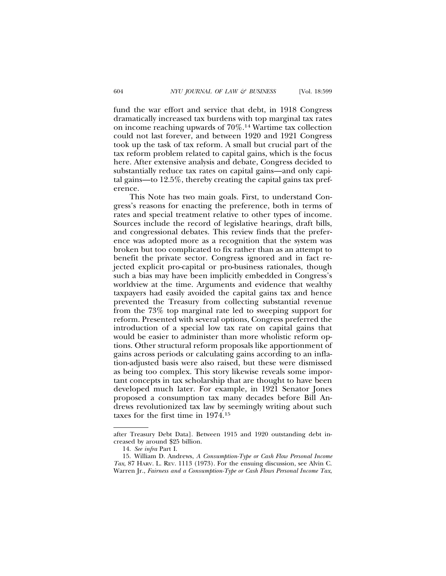fund the war effort and service that debt, in 1918 Congress dramatically increased tax burdens with top marginal tax rates on income reaching upwards of 70%.14 Wartime tax collection could not last forever, and between 1920 and 1921 Congress took up the task of tax reform. A small but crucial part of the tax reform problem related to capital gains, which is the focus here. After extensive analysis and debate, Congress decided to substantially reduce tax rates on capital gains—and only capital gains—to 12.5%, thereby creating the capital gains tax preference.

This Note has two main goals. First, to understand Congress's reasons for enacting the preference, both in terms of rates and special treatment relative to other types of income. Sources include the record of legislative hearings, draft bills, and congressional debates. This review finds that the preference was adopted more as a recognition that the system was broken but too complicated to fix rather than as an attempt to benefit the private sector. Congress ignored and in fact rejected explicit pro-capital or pro-business rationales, though such a bias may have been implicitly embedded in Congress's worldview at the time. Arguments and evidence that wealthy taxpayers had easily avoided the capital gains tax and hence prevented the Treasury from collecting substantial revenue from the 73% top marginal rate led to sweeping support for reform. Presented with several options, Congress preferred the introduction of a special low tax rate on capital gains that would be easier to administer than more wholistic reform options. Other structural reform proposals like apportionment of gains across periods or calculating gains according to an inflation-adjusted basis were also raised, but these were dismissed as being too complex. This story likewise reveals some important concepts in tax scholarship that are thought to have been developed much later. For example, in 1921 Senator Jones proposed a consumption tax many decades before Bill Andrews revolutionized tax law by seemingly writing about such taxes for the first time in 1974.15

after Treasury Debt Data]. Between 1915 and 1920 outstanding debt increased by around \$25 billion.

<sup>14.</sup> *See infra* Part I.

<sup>15.</sup> William D. Andrews, *A Consumption-Type or Cash Flow Personal Income Tax*, 87 HARV. L. REV. 1113 (1973). For the ensuing discussion, see Alvin C. Warren Jr., *Fairness and a Consumption-Type or Cash Flows Personal Income Tax*,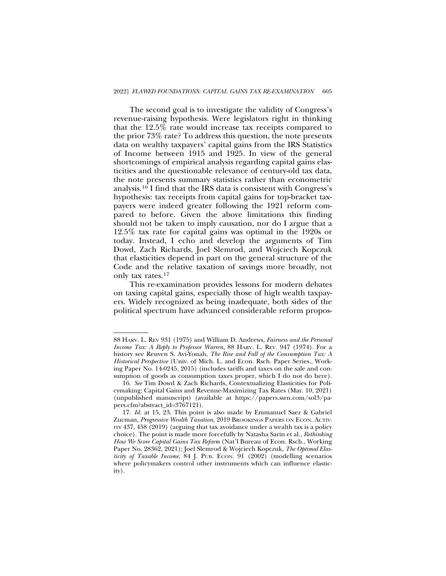The second goal is to investigate the validity of Congress's revenue-raising hypothesis. Were legislators right in thinking that the 12.5% rate would increase tax receipts compared to the prior 73% rate? To address this question, the note presents data on wealthy taxpayers' capital gains from the IRS Statistics of Income between 1915 and 1925. In view of the general shortcomings of empirical analysis regarding capital gains elasticities and the questionable relevance of century-old tax data, the note presents summary statistics rather than econometric analysis.16 I find that the IRS data is consistent with Congress's hypothesis: tax receipts from capital gains for top-bracket taxpayers were indeed greater following the 1921 reform compared to before. Given the above limitations this finding should not be taken to imply causation, nor do I argue that a 12.5% tax rate for capital gains was optimal in the 1920s or today. Instead, I echo and develop the arguments of Tim Dowd, Zach Richards, Joel Slemrod, and Wojciech Kopczuk that elasticities depend in part on the general structure of the Code and the relative taxation of savings more broadly, not only tax rates.17

This re-examination provides lessons for modern debates on taxing capital gains, especially those of high wealth taxpayers. Widely recognized as being inadequate, both sides of the political spectrum have advanced considerable reform propos-

<sup>88</sup> HARV. L. REV 931 (1975) and William D. Andrews, *Fairness and the Personal Income Tax: A Reply to Professor Warren*, 88 HARV. L. REV. 947 (1974). For a history see Reuven S. Avi-Yonah, *The Rise and Fall of the Consumption Tax: A Historical Perspective* (Univ. of Mich. L. and Econ. Rsch. Paper Series., Working Paper No. 14-0245, 2015) (includes tariffs and taxes on the sale and consumption of goods as consumption taxes proper, which I do not do here).

<sup>16.</sup> *See* Tim Dowd & Zach Richards, Contextualizing Elasticities for Policymaking: Capital Gains and Revenue-Maximizing Tax Rates (Mar. 10, 2021) (unpublished manuscript) (available at https://papers.ssrn.com/sol3/papers.cfm?abstract\_id=3767121).

<sup>17.</sup> *Id.* at 15, 23. This point is also made by Emmanuel Saez & Gabriel Zucman, *Progressive Wealth Taxation*, 2019 BROOKINGS PAPERS ON ECON. ACTIV-ITY 437, 458 (2019) (arguing that tax avoidance under a wealth tax is a policy choice). The point is made more forcefully by Natasha Sarin et al., *Rethinking How We Score Capital Gains Tax Reform* (Nat'l Bureau of Econ. Rsch., Working Paper No. 28362, 2021); Joel Slemrod & Wojciech Kopczuk, *The Optimal Elasticity of Taxable Income*, 84 J. PUB. ECON. 91 (2002) (modelling scenarios where policymakers control other instruments which can influence elasticity).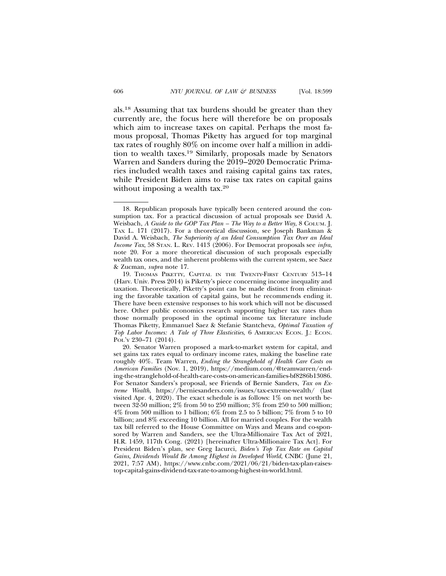als.18 Assuming that tax burdens should be greater than they currently are, the focus here will therefore be on proposals which aim to increase taxes on capital. Perhaps the most famous proposal, Thomas Piketty has argued for top marginal tax rates of roughly 80% on income over half a million in addition to wealth taxes.19 Similarly, proposals made by Senators Warren and Sanders during the 2019–2020 Democratic Primaries included wealth taxes and raising capital gains tax rates, while President Biden aims to raise tax rates on capital gains without imposing a wealth tax.<sup>20</sup>

<sup>18.</sup> Republican proposals have typically been centered around the consumption tax. For a practical discussion of actual proposals see David A. Weisbach, *A Guide to the GOP Tax Plan – The Way to a Better Way*, 8 COLUM. J. TAX L. 171 (2017). For a theoretical discussion, see Joseph Bankman & David A. Weisbach, *The Superiority of an Ideal Consumption Tax Over an Ideal Income Tax*, 58 STAN. L. REV. 1413 (2006). For Democrat proposals see *infra*, note 20. For a more theoretical discussion of such proposals especially wealth tax ones, and the inherent problems with the current system, see Saez & Zucman, *supra* note 17.

<sup>19.</sup> THOMAS PIKETTY, CAPITAL IN THE TWENTY-FIRST CENTURY 513–14 (Harv. Univ. Press 2014) is Piketty's piece concerning income inequality and taxation. Theoretically, Piketty's point can be made distinct from eliminating the favorable taxation of capital gains, but he recommends ending it. There have been extensive responses to his work which will not be discussed here. Other public economics research supporting higher tax rates than those normally proposed in the optimal income tax literature include Thomas Piketty, Emmanuel Saez & Stefanie Stantcheva, *Optimal Taxation of Top Labor Incomes: A Tale of Three Elasticities*, 6 AMERICAN ECON. J.: ECON. POL'Y 230–71 (2014).

<sup>20.</sup> Senator Warren proposed a mark-to-market system for capital, and set gains tax rates equal to ordinary income rates, making the baseline rate roughly 40%. Team Warren, *Ending the Stranglehold of Health Care Costs on American Families* (Nov. 1, 2019), https://medium.com/@teamwarren/ending-the-stranglehold-of-health-care-costs-on-american-families-bf8286b13086. For Senator Sanders's proposal, see Friends of Bernie Sanders, *Tax on Extreme Wealth*, https://berniesanders.com/issues/tax-extreme-wealth/ (last visited Apr. 4, 2020). The exact schedule is as follows:  $1\%$  on net worth between 32-50 million; 2% from 50 to 250 million; 3% from 250 to 500 million; 4% from 500 million to 1 billion; 6% from 2.5 to 5 billion; 7% from 5 to 10 billion; and 8% exceeding 10 billion. All for married couples. For the wealth tax bill referred to the House Committee on Ways and Means and co-sponsored by Warren and Sanders, see the Ultra-Millionaire Tax Act of 2021, H.R. 1459, 117th Cong. (2021) [hereinafter Ultra-Millionaire Tax Act]. For President Biden's plan, see Greg Iacurci, *Biden's Top Tax Rate on Capital Gains, Dividends Would Be Among Highest in Developed World*, CNBC (June 21, 2021, 7:57 AM), https://www.cnbc.com/2021/06/21/biden-tax-plan-raisestop-capital-gains-dividend-tax-rate-to-among-highest-in-world.html.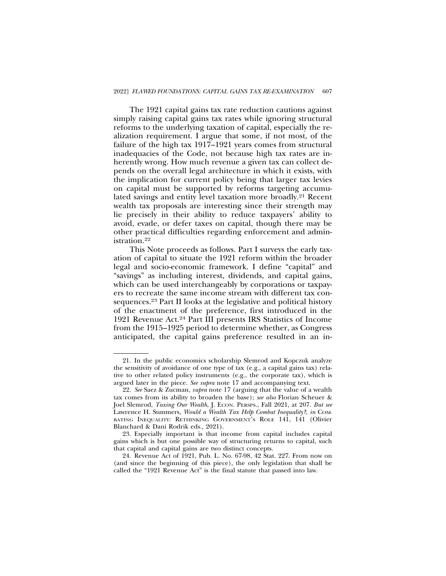The 1921 capital gains tax rate reduction cautions against simply raising capital gains tax rates while ignoring structural reforms to the underlying taxation of capital, especially the realization requirement. I argue that some, if not most, of the failure of the high tax 1917–1921 years comes from structural inadequacies of the Code, not because high tax rates are inherently wrong. How much revenue a given tax can collect depends on the overall legal architecture in which it exists, with the implication for current policy being that larger tax levies on capital must be supported by reforms targeting accumulated savings and entity level taxation more broadly.21 Recent wealth tax proposals are interesting since their strength may lie precisely in their ability to reduce taxpayers' ability to avoid, evade, or defer taxes on capital, though there may be other practical difficulties regarding enforcement and administration.22

This Note proceeds as follows. Part I surveys the early taxation of capital to situate the 1921 reform within the broader legal and socio-economic framework. I define "capital" and "savings" as including interest, dividends, and capital gains, which can be used interchangeably by corporations or taxpayers to recreate the same income stream with different tax consequences.23 Part II looks at the legislative and political history of the enactment of the preference, first introduced in the 1921 Revenue Act.24 Part III presents IRS Statistics of Income from the 1915–1925 period to determine whether, as Congress anticipated, the capital gains preference resulted in an in-

<sup>21.</sup> In the public economics scholarship Slemrod and Kopczuk analyze the sensitivity of avoidance of one type of tax (e.g., a capital gains tax) relative to other related policy instruments (e.g., the corporate tax), which is argued later in the piece. *See supra* note 17 and accompanying text.

<sup>22.</sup> *See* Saez & Zucman, *supra* note 17 (arguing that the value of a wealth tax comes from its ability to broaden the base); *see also* Florian Scheuer & Joel Slemrod, *Taxing Our Wealth*, J. ECON. PERSPS., Fall 2021, at 207. *But see* Lawrence H. Summers, *Would a Wealth Tax Help Combat Inequality?*, *in* COM-BATING INEQUALITY: RETHINKING GOVERNMENT'S ROLE 141, 141 (Olivier Blanchard & Dani Rodrik eds., 2021).

<sup>23.</sup> Especially important is that income from capital includes capital gains which is but one possible way of structuring returns to capital, such that capital and capital gains are two distinct concepts.

<sup>24.</sup> Revenue Act of 1921, Pub. L. No. 67-98, 42 Stat. 227. From now on (and since the beginning of this piece), the only legislation that shall be called the "1921 Revenue Act" is the final statute that passed into law.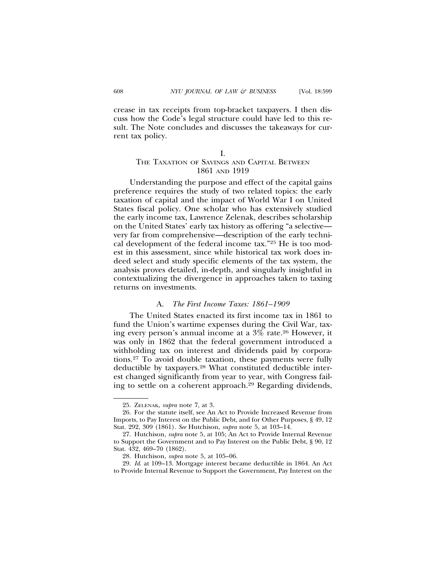crease in tax receipts from top-bracket taxpayers. I then discuss how the Code's legal structure could have led to this result. The Note concludes and discusses the takeaways for current tax policy.

#### I.

# THE TAXATION OF SAVINGS AND CAPITAL BETWEEN 1861 AND 1919

Understanding the purpose and effect of the capital gains preference requires the study of two related topics: the early taxation of capital and the impact of World War I on United States fiscal policy. One scholar who has extensively studied the early income tax, Lawrence Zelenak, describes scholarship on the United States' early tax history as offering "a selective very far from comprehensive—description of the early technical development of the federal income tax."25 He is too modest in this assessment, since while historical tax work does indeed select and study specific elements of the tax system, the analysis proves detailed, in-depth, and singularly insightful in contextualizing the divergence in approaches taken to taxing returns on investments.

## A. *The First Income Taxes: 1861–1909*

The United States enacted its first income tax in 1861 to fund the Union's wartime expenses during the Civil War, taxing every person's annual income at a 3% rate.26 However, it was only in 1862 that the federal government introduced a withholding tax on interest and dividends paid by corporations.27 To avoid double taxation, these payments were fully deductible by taxpayers.28 What constituted deductible interest changed significantly from year to year, with Congress failing to settle on a coherent approach.29 Regarding dividends,

29. *Id*. at 109–13. Mortgage interest became deductible in 1864. An Act to Provide Internal Revenue to Support the Government, Pay Interest on the

<sup>25.</sup> ZELENAK, *supra* note 7, at 3.

<sup>26.</sup> For the statute itself, see An Act to Provide Increased Revenue from Imports, to Pay Interest on the Public Debt, and for Other Purposes, § 49, 12 Stat. 292, 309 (1861). *See* Hutchison, *supra* note 5, at 103–14.

<sup>27.</sup> Hutchison, *supra* note 5, at 105; An Act to Provide Internal Revenue to Support the Government and to Pay Interest on the Public Debt, § 90, 12 Stat. 432, 469–70 (1862).

<sup>28.</sup> Hutchison, *supra* note 5, at 105–06.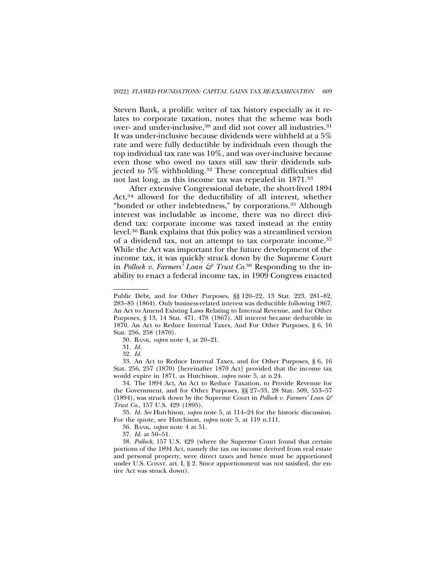Steven Bank, a prolific writer of tax history especially as it relates to corporate taxation, notes that the scheme was both over- and under-inclusive,<sup>30</sup> and did not cover all industries.<sup>31</sup> It was under-inclusive because dividends were withheld at a 5% rate and were fully deductible by individuals even though the top individual tax rate was 10%, and was over-inclusive because even those who owed no taxes still saw their dividends subjected to 5% withholding.32 These conceptual difficulties did not last long, as this income tax was repealed in 1871.33

After extensive Congressional debate, the short-lived 1894 Act,<sup>34</sup> allowed for the deductibility of all interest, whether "bonded or other indebtedness," by corporations.35 Although interest was includable as income, there was no direct dividend tax: corporate income was taxed instead at the entity level.36 Bank explains that this policy was a streamlined version of a dividend tax, not an attempt to tax corporate income.37 While the Act was important for the future development of the income tax, it was quickly struck down by the Supreme Court in *Pollock v. Farmers' Loan & Trust Co*. 38 Responding to the inability to enact a federal income tax, in 1909 Congress enacted

33. An Act to Reduce Internal Taxes, and for Other Purposes, § 6, 16 Stat. 256, 257 (1870) [hereinafter 1870 Act] provided that the income tax would expire in 1871, as Hutchison, *supra* note 5, at n.24.

34. The 1894 Act, An Act to Reduce Taxation, to Provide Revenue for the Government, and for Other Purposes, §§ 27–33, 28 Stat. 509, 553–57 (1894), was struck down by the Supreme Court in *Pollock v. Farmers' Loan & Trust Co*., 157 U.S. 429 (1895).

35. *Id. See* Hutchison, *supra* note 5, at 114–24 for the historic discussion. For the quote, see Hutchison, *supra* note 5, at 119 n.111.

36. BANK, *supra* note 4 at 51.

37. *Id*. at 50–51.

38. *Pollock*, 157 U.S. 429 (where the Supreme Court found that certain portions of the 1894 Act, namely the tax on income derived from real estate and personal property, were direct taxes and hence must be apportioned under U.S. CONST. art. I, § 2. Since apportionment was not satisfied, the entire Act was struck down).

Public Debt, and for Other Purposes, §§ 120–22, 13 Stat. 223, 281–82, 283–85 (1864). Only business-related interest was deductible following 1867. An Act to Amend Existing Laws Relating to Internal Revenue, and for Other Purposes, § 13, 14 Stat. 471, 478 (1867). All interest became deductible in 1870. An Act to Reduce Internal Taxes, And For Other Purposes, § 6, 16 Stat. 256, 258 (1870).

<sup>30.</sup> BANK, *supra* note 4, at 20–21.

<sup>31.</sup> *Id.*

<sup>32.</sup> *Id.*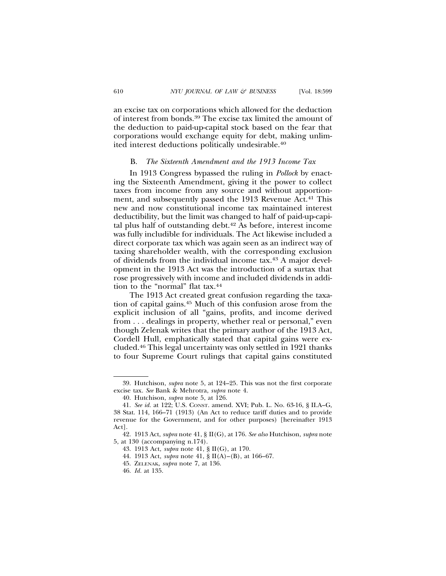an excise tax on corporations which allowed for the deduction of interest from bonds.39 The excise tax limited the amount of the deduction to paid-up-capital stock based on the fear that corporations would exchange equity for debt, making unlimited interest deductions politically undesirable.40

#### B. *The Sixteenth Amendment and the 1913 Income Tax*

In 1913 Congress bypassed the ruling in *Pollock* by enacting the Sixteenth Amendment, giving it the power to collect taxes from income from any source and without apportionment, and subsequently passed the 1913 Revenue Act.<sup>41</sup> This new and now constitutional income tax maintained interest deductibility, but the limit was changed to half of paid-up-capital plus half of outstanding debt.42 As before, interest income was fully includible for individuals. The Act likewise included a direct corporate tax which was again seen as an indirect way of taxing shareholder wealth, with the corresponding exclusion of dividends from the individual income tax.43 A major development in the 1913 Act was the introduction of a surtax that rose progressively with income and included dividends in addition to the "normal" flat tax.44

The 1913 Act created great confusion regarding the taxation of capital gains.45 Much of this confusion arose from the explicit inclusion of all "gains, profits, and income derived from . . . dealings in property, whether real or personal," even though Zelenak writes that the primary author of the 1913 Act, Cordell Hull, emphatically stated that capital gains were excluded.46 This legal uncertainty was only settled in 1921 thanks to four Supreme Court rulings that capital gains constituted

<sup>39.</sup> Hutchison, *supra* note 5, at 124–25. This was not the first corporate excise tax. *See* Bank & Mehrotra, *supra* note 4.

<sup>40.</sup> Hutchison, *supra* note 5, at 126.

<sup>41.</sup> *See id.* at 122; U.S. CONST. amend. XVI; Pub. L. No. 63-16, § II.A–G, 38 Stat. 114, 166–71 (1913) (An Act to reduce tariff duties and to provide revenue for the Government, and for other purposes) [hereinafter 1913 Act].

<sup>42. 1913</sup> Act, *supra* note 41, § II(G), at 176. *See also* Hutchison, *supra* note 5, at 130 (accompanying n.174).

<sup>43. 1913</sup> Act, *supra* note 41, § II(G), at 170.

<sup>44. 1913</sup> Act, *supra* note 41, § II(A)–(B), at 166–67.

<sup>45.</sup> ZELENAK, *supra* note 7, at 136.

<sup>46.</sup> *Id.* at 135.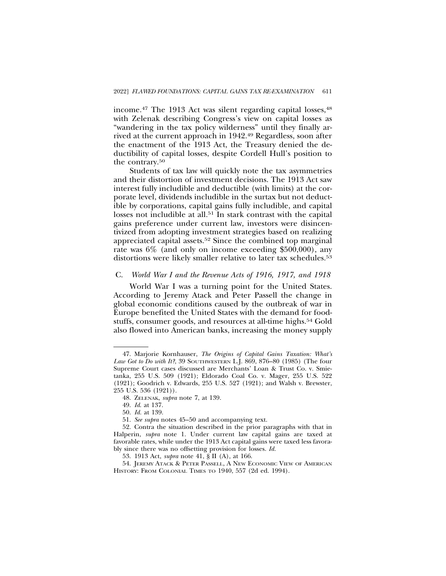income.<sup>47</sup> The 1913 Act was silent regarding capital losses,<sup>48</sup> with Zelenak describing Congress's view on capital losses as "wandering in the tax policy wilderness" until they finally arrived at the current approach in 1942.49 Regardless, soon after the enactment of the 1913 Act, the Treasury denied the deductibility of capital losses, despite Cordell Hull's position to the contrary.50

Students of tax law will quickly note the tax asymmetries and their distortion of investment decisions. The 1913 Act saw interest fully includible and deductible (with limits) at the corporate level, dividends includible in the surtax but not deductible by corporations, capital gains fully includible, and capital losses not includible at all.51 In stark contrast with the capital gains preference under current law, investors were disincentivized from adopting investment strategies based on realizing appreciated capital assets.52 Since the combined top marginal rate was 6% (and only on income exceeding \$500,000), any distortions were likely smaller relative to later tax schedules.<sup>53</sup>

# C. *World War I and the Revenue Acts of 1916, 1917, and 1918*

World War I was a turning point for the United States. According to Jeremy Atack and Peter Passell the change in global economic conditions caused by the outbreak of war in Europe benefited the United States with the demand for foodstuffs, consumer goods, and resources at all-time highs.<sup>54</sup> Gold also flowed into American banks, increasing the money supply

<sup>47.</sup> Marjorie Kornhauser, *The Origins of Capital Gains Taxation: What's Law Got to Do with It?*, 39 SOUTHWESTERN L.J. 869, 876–80 (1985) (The four Supreme Court cases discussed are Merchants' Loan & Trust Co. v. Smietanka, 255 U.S. 509 (1921); Eldorado Coal Co. v. Mager, 255 U.S. 522 (1921); Goodrich v. Edwards, 255 U.S. 527 (1921); and Walsh v. Brewster, 255 U.S. 536 (1921)).

<sup>48.</sup> ZELENAK, *supra* note 7, at 139.

<sup>49.</sup> *Id*. at 137.

<sup>50.</sup> *Id.* at 139.

<sup>51.</sup> *See supra* notes 45–50 and accompanying text.

<sup>52.</sup> Contra the situation described in the prior paragraphs with that in Halperin, *supra* note 1. Under current law capital gains are taxed at favorable rates, while under the 1913 Act capital gains were taxed less favorably since there was no offsetting provision for losses. *Id.*

<sup>53. 1913</sup> Act, *supra* note 41, § II (A), at 166.

<sup>54.</sup> JEREMY ATACK & PETER PASSELL, A NEW ECONOMIC VIEW OF AMERICAN HISTORY: FROM COLONIAL TIMES TO 1940, 557 (2d ed. 1994).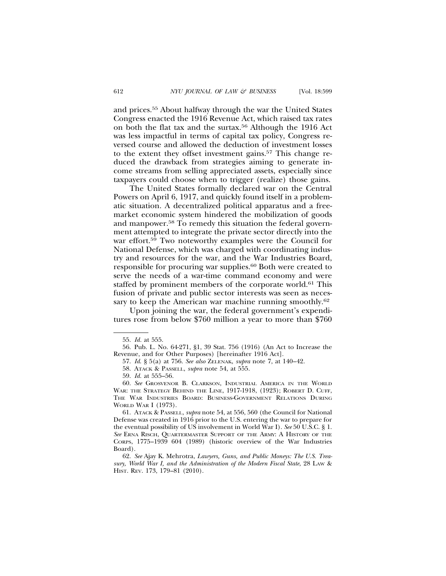and prices.55 About halfway through the war the United States Congress enacted the 1916 Revenue Act, which raised tax rates on both the flat tax and the surtax.56 Although the 1916 Act was less impactful in terms of capital tax policy, Congress reversed course and allowed the deduction of investment losses to the extent they offset investment gains.57 This change reduced the drawback from strategies aiming to generate income streams from selling appreciated assets, especially since taxpayers could choose when to trigger (realize) those gains.

The United States formally declared war on the Central Powers on April 6, 1917, and quickly found itself in a problematic situation. A decentralized political apparatus and a freemarket economic system hindered the mobilization of goods and manpower.58 To remedy this situation the federal government attempted to integrate the private sector directly into the war effort.<sup>59</sup> Two noteworthy examples were the Council for National Defense, which was charged with coordinating industry and resources for the war, and the War Industries Board, responsible for procuring war supplies.60 Both were created to serve the needs of a war-time command economy and were staffed by prominent members of the corporate world.<sup>61</sup> This fusion of private and public sector interests was seen as necessary to keep the American war machine running smoothly.<sup>62</sup>

Upon joining the war, the federal government's expenditures rose from below \$760 million a year to more than \$760

61. ATACK & PASSELL, *supra* note 54, at 556, 560 (the Council for National Defense was created in 1916 prior to the U.S. entering the war to prepare for the eventual possibility of US involvement in World War I). *See* 50 U.S.C. § 1. *See* ERNA RISCH, QUARTERMASTER SUPPORT OF THE ARMY: A HISTORY OF THE CORPS, 1775–1939 604 (1989) (historic overview of the War Industries Board).

62. *See* Ajay K. Mehrotra, *Lawyers, Guns, and Public Moneys: The U.S. Treasury, World War I, and the Administration of the Modern Fiscal State*, 28 LAW & HIST. REV. 173, 179–81 (2010).

<sup>55.</sup> *Id.* at 555.

<sup>56.</sup> Pub. L. No. 64-271, §1, 39 Stat. 756 (1916) (An Act to Increase the Revenue, and for Other Purposes) [hereinafter 1916 Act].

<sup>57.</sup> *Id*. § 5(a) at 756. *See also* ZELENAK, *supra* note 7, at 140–42.

<sup>58.</sup> ATACK & PASSELL, *supra* note 54, at 555.

<sup>59.</sup> *Id.* at 555–56.

<sup>60.</sup> *See* GROSVENOR B. CLARKSON, INDUSTRIAL AMERICA IN THE WORLD WAR: THE STRATEGY BEHIND THE LINE, 1917-1918, (1923); ROBERT D. CUFF, THE WAR INDUSTRIES BOARD: BUSINESS-GOVERNMENT RELATIONS DURING WORLD WAR I (1973).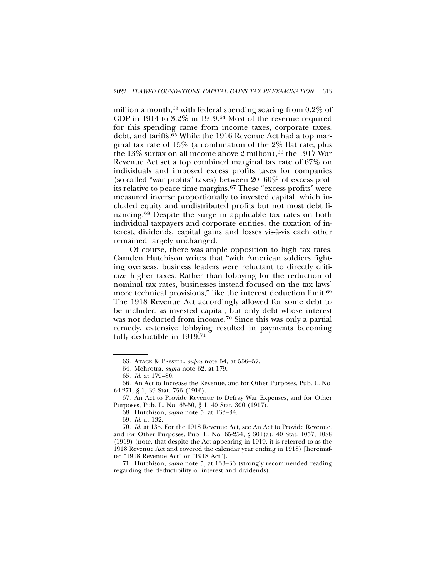million a month,<sup>63</sup> with federal spending soaring from  $0.2\%$  of GDP in 1914 to 3.2% in 1919.64 Most of the revenue required for this spending came from income taxes, corporate taxes, debt, and tariffs.65 While the 1916 Revenue Act had a top marginal tax rate of 15% (a combination of the 2% flat rate, plus the  $13\%$  surtax on all income above 2 million), <sup>66</sup> the 1917 War Revenue Act set a top combined marginal tax rate of 67% on individuals and imposed excess profits taxes for companies (so-called "war profits" taxes) between 20–60% of excess profits relative to peace-time margins.67 These "excess profits" were measured inverse proportionally to invested capital, which included equity and undistributed profits but not most debt financing.68 Despite the surge in applicable tax rates on both individual taxpayers and corporate entities, the taxation of interest, dividends, capital gains and losses vis-a-vis each other ` remained largely unchanged.

Of course, there was ample opposition to high tax rates. Camden Hutchison writes that "with American soldiers fighting overseas, business leaders were reluctant to directly criticize higher taxes. Rather than lobbying for the reduction of nominal tax rates, businesses instead focused on the tax laws' more technical provisions," like the interest deduction limit.<sup>69</sup> The 1918 Revenue Act accordingly allowed for some debt to be included as invested capital, but only debt whose interest was not deducted from income.<sup>70</sup> Since this was only a partial remedy, extensive lobbying resulted in payments becoming fully deductible in 1919.71

69. *Id.* at 132.

70. *Id.* at 135. For the 1918 Revenue Act, see An Act to Provide Revenue, and for Other Purposes, Pub. L. No. 65-254, § 301(a), 40 Stat. 1057, 1088 (1919) (note, that despite the Act appearing in 1919, it is referred to as the 1918 Revenue Act and covered the calendar year ending in 1918) [hereinafter "1918 Revenue Act" or "1918 Act"].

71. Hutchison, *supra* note 5, at 133–36 (strongly recommended reading regarding the deductibility of interest and dividends).

<sup>63.</sup> ATACK & PASSELL, *supra* note 54, at 556–57.

<sup>64.</sup> Mehrotra, *supra* note 62, at 179.

<sup>65.</sup> *Id.* at 179–80.

<sup>66.</sup> An Act to Increase the Revenue, and for Other Purposes, Pub. L. No. 64-271, § 1, 39 Stat. 756 (1916).

<sup>67.</sup> An Act to Provide Revenue to Defray War Expenses, and for Other Purposes, Pub. L. No. 65-50, § 1, 40 Stat. 300 (1917).

<sup>68.</sup> Hutchison, *supra* note 5, at 133–34.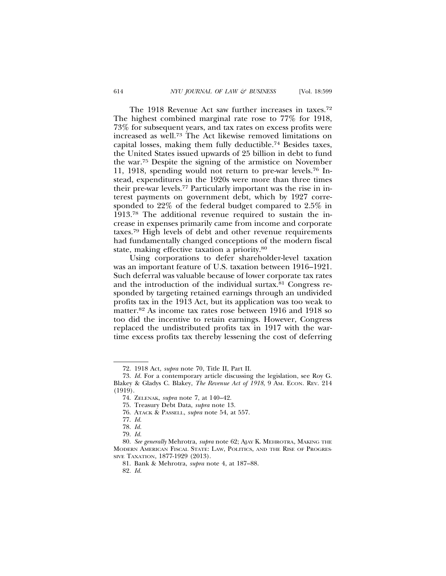The 1918 Revenue Act saw further increases in taxes.72 The highest combined marginal rate rose to 77% for 1918, 73% for subsequent years, and tax rates on excess profits were increased as well.73 The Act likewise removed limitations on capital losses, making them fully deductible.74 Besides taxes, the United States issued upwards of 25 billion in debt to fund the war.75 Despite the signing of the armistice on November 11, 1918, spending would not return to pre-war levels.76 Instead, expenditures in the 1920s were more than three times their pre-war levels.77 Particularly important was the rise in interest payments on government debt, which by 1927 corresponded to 22% of the federal budget compared to 2.5% in 1913.78 The additional revenue required to sustain the increase in expenses primarily came from income and corporate taxes.79 High levels of debt and other revenue requirements had fundamentally changed conceptions of the modern fiscal

state, making effective taxation a priority.80 Using corporations to defer shareholder-level taxation was an important feature of U.S. taxation between 1916–1921. Such deferral was valuable because of lower corporate tax rates and the introduction of the individual surtax.81 Congress responded by targeting retained earnings through an undivided profits tax in the 1913 Act, but its application was too weak to matter.82 As income tax rates rose between 1916 and 1918 so too did the incentive to retain earnings. However, Congress replaced the undistributed profits tax in 1917 with the wartime excess profits tax thereby lessening the cost of deferring

82. *Id.*

<sup>72. 1918</sup> Act, *supra* note 70, Title II, Part II.

<sup>73.</sup> *Id.* For a contemporary article discussing the legislation, see Roy G. Blakey & Gladys C. Blakey, *The Revenue Act of 1918*, 9 Am. ECON. REV. 214 (1919).

<sup>74.</sup> ZELENAK, *supra* note 7, at 140–42.

<sup>75.</sup> Treasury Debt Data, *supra* note 13.

<sup>76.</sup> ATACK & PASSELL, *supra* note 54, at 557.

<sup>77.</sup> *Id.*

<sup>78.</sup> *Id.*

<sup>79.</sup> *Id.*

<sup>80.</sup> *See generally* Mehrotra, *supra* note 62; AJAY K. MEHROTRA, MAKING THE MODERN AMERICAN FISCAL STATE: LAW, POLITICS, AND THE RISE OF PROGRES-SIVE TAXATION, 1877-1929 (2013).

<sup>81.</sup> Bank & Mehrotra, *supra* note 4, at 187–88.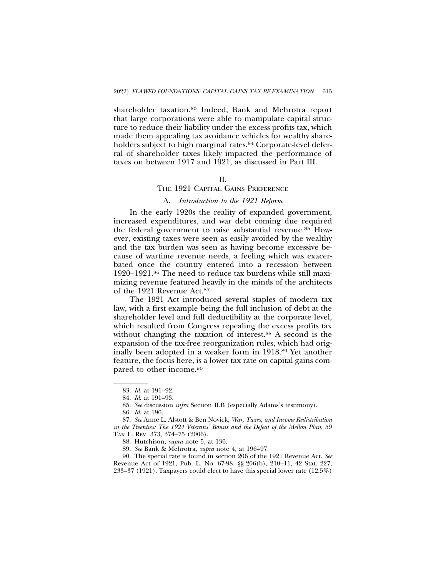shareholder taxation.83 Indeed, Bank and Mehrotra report that large corporations were able to manipulate capital structure to reduce their liability under the excess profits tax, which made them appealing tax avoidance vehicles for wealthy shareholders subject to high marginal rates.<sup>84</sup> Corporate-level deferral of shareholder taxes likely impacted the performance of taxes on between 1917 and 1921, as discussed in Part III.

### $II$ .

## THE 1921 CAPITAL GAINS PREFERENCE

#### A. *Introduction to the 1921 Reform*

In the early 1920s the reality of expanded government, increased expenditures, and war debt coming due required the federal government to raise substantial revenue.85 However, existing taxes were seen as easily avoided by the wealthy and the tax burden was seen as having become excessive because of wartime revenue needs, a feeling which was exacerbated once the country entered into a recession between 1920–1921.86 The need to reduce tax burdens while still maximizing revenue featured heavily in the minds of the architects of the 1921 Revenue Act.87

The 1921 Act introduced several staples of modern tax law, with a first example being the full inclusion of debt at the shareholder level and full deductibility at the corporate level, which resulted from Congress repealing the excess profits tax without changing the taxation of interest.<sup>88</sup> A second is the expansion of the tax-free reorganization rules, which had originally been adopted in a weaker form in 1918.89 Yet another feature, the focus here, is a lower tax rate on capital gains compared to other income.90

90. The special rate is found in section 206 of the 1921 Revenue Act. *See* Revenue Act of 1921, Pub. L. No. 67-98, §§ 206(b), 210–11, 42 Stat. 227, 233–37 (1921). Taxpayers could elect to have this special lower rate (12.5%)

<sup>83.</sup> *Id.* at 191–92.

<sup>84.</sup> *Id*. at 191–93.

<sup>85.</sup> *See* discussion *infra* Section II.B (especially Adams's testimony).

<sup>86.</sup> *Id*. at 196.

<sup>87.</sup> *See* Anne L. Alstott & Ben Novick, *War, Taxes, and Income Redistribution in the Twenties: The 1924 Veterans' Bonus and the Defeat of the Mellon Plan*, 59 TAX L. REV. 373, 374–75 (2006).

<sup>88.</sup> Hutchison, *supra* note 5, at 136.

<sup>89.</sup> *See* Bank & Mehrotra, *supra* note 4, at 196–97.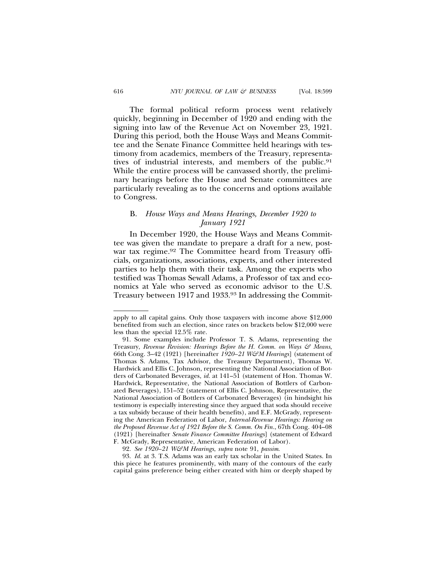The formal political reform process went relatively quickly, beginning in December of 1920 and ending with the signing into law of the Revenue Act on November 23, 1921. During this period, both the House Ways and Means Committee and the Senate Finance Committee held hearings with testimony from academics, members of the Treasury, representatives of industrial interests, and members of the public.<sup>91</sup> While the entire process will be canvassed shortly, the preliminary hearings before the House and Senate committees are particularly revealing as to the concerns and options available to Congress.

# B. *House Ways and Means Hearings, December 1920 to January 1921*

In December 1920, the House Ways and Means Committee was given the mandate to prepare a draft for a new, postwar tax regime.<sup>92</sup> The Committee heard from Treasury officials, organizations, associations, experts, and other interested parties to help them with their task. Among the experts who testified was Thomas Sewall Adams, a Professor of tax and economics at Yale who served as economic advisor to the U.S. Treasury between 1917 and 1933.93 In addressing the Commit-

93. *Id.* at 3. T.S. Adams was an early tax scholar in the United States. In this piece he features prominently, with many of the contours of the early capital gains preference being either created with him or deeply shaped by

apply to all capital gains. Only those taxpayers with income above \$12,000 benefited from such an election, since rates on brackets below \$12,000 were less than the special 12.5% rate.

<sup>91.</sup> Some examples include Professor T. S. Adams, representing the Treasury, *Revenue Revision: Hearings Before the H. Comm. on Ways & Means*, 66th Cong. 3–42 (1921) [hereinafter *1920–21 W&M Hearings*] (statement of Thomas S. Adams, Tax Advisor, the Treasury Department), Thomas W. Hardwick and Ellis C. Johnson, representing the National Association of Bottlers of Carbonated Beverages, *id.* at 141–51 (statement of Hon. Thomas W. Hardwick, Representative, the National Association of Bottlers of Carbonated Beverages), 151–52 (statement of Ellis C. Johnson, Representative, the National Association of Bottlers of Carbonated Beverages) (in hindsight his testimony is especially interesting since they argued that soda should receive a tax subsidy because of their health benefits), and E.F. McGrady, representing the American Federation of Labor, *Internal-Revenue Hearings: Hearing on the Proposed Revenue Act of 1921 Before the S. Comm. On Fin.*, 67th Cong. 404–08 (1921) [hereinafter *Senate Finance Committee Hearings*] (statement of Edward F. McGrady, Representative, American Federation of Labor).

<sup>92.</sup> *See 1920–21 W&M Hearings*, *supra* note 91, *passim*.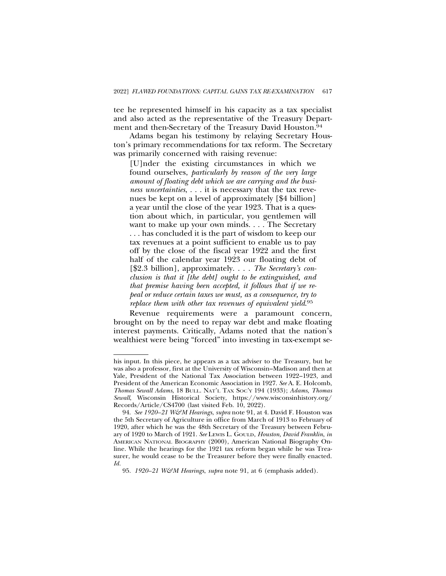tee he represented himself in his capacity as a tax specialist and also acted as the representative of the Treasury Department and then-Secretary of the Treasury David Houston.94

Adams began his testimony by relaying Secretary Houston's primary recommendations for tax reform. The Secretary was primarily concerned with raising revenue:

[U]nder the existing circumstances in which we found ourselves, *particularly by reason of the very large amount of floating debt which we are carrying and the business uncertainties*, . . . it is necessary that the tax revenues be kept on a level of approximately [\$4 billion] a year until the close of the year 1923. That is a question about which, in particular, you gentlemen will want to make up your own minds. . . . The Secretary . . . has concluded it is the part of wisdom to keep our tax revenues at a point sufficient to enable us to pay off by the close of the fiscal year 1922 and the first half of the calendar year 1923 our floating debt of [\$2.3 billion], approximately. . . . *The Secretary's conclusion is that it [the debt] ought to be extinguished, and that premise having been accepted, it follows that if we repeal or reduce certain taxes we must, as a consequence, try to replace them with other tax revenues of equivalent yield*. 95

Revenue requirements were a paramount concern, brought on by the need to repay war debt and make floating interest payments. Critically, Adams noted that the nation's wealthiest were being "forced" into investing in tax-exempt se-

his input. In this piece, he appears as a tax adviser to the Treasury, but he was also a professor, first at the University of Wisconsin–Madison and then at Yale, President of the National Tax Association between 1922–1923, and President of the American Economic Association in 1927. *See* A. E. Holcomb, *Thomas Sewall Adams*, 18 BULL. NAT'L TAX SOC'Y 194 (1933); *Adams, Thomas Sewall*, Wisconsin Historical Society, https://www.wisconsinhistory.org/ Records/Article/CS4700 (last visited Feb. 10, 2022).

<sup>94.</sup> *See 1920–21 W&M Hearings*, *supra* note 91, at 4. David F. Houston was the 5th Secretary of Agriculture in office from March of 1913 to February of 1920, after which he was the 48th Secretary of the Treasury between February of 1920 to March of 1921. *See* LEWIS L. GOULD, *Houston, David Franklin*, *in* AMERICAN NATIONAL BIOGRAPHY (2000), American National Biography Online. While the hearings for the 1921 tax reform began while he was Treasurer, he would cease to be the Treasurer before they were finally enacted. *Id.*

<sup>95.</sup> *1920–21 W&M Hearings*, *supra* note 91, at 6 (emphasis added).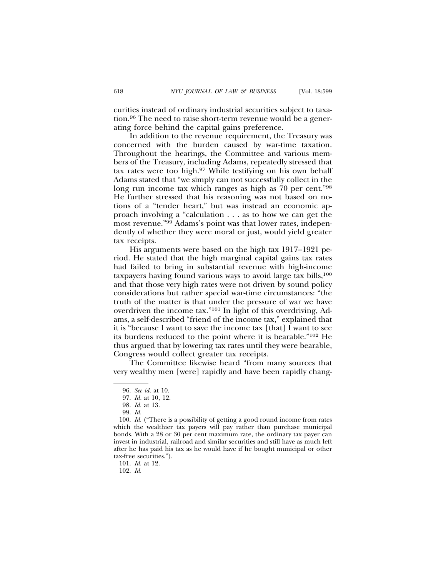curities instead of ordinary industrial securities subject to taxation.96 The need to raise short-term revenue would be a generating force behind the capital gains preference.

In addition to the revenue requirement, the Treasury was concerned with the burden caused by war-time taxation. Throughout the hearings, the Committee and various members of the Treasury, including Adams, repeatedly stressed that tax rates were too high.97 While testifying on his own behalf Adams stated that "we simply can not successfully collect in the long run income tax which ranges as high as 70 per cent."98 He further stressed that his reasoning was not based on notions of a "tender heart," but was instead an economic approach involving a "calculation . . . as to how we can get the most revenue."99 Adams's point was that lower rates, independently of whether they were moral or just, would yield greater tax receipts.

His arguments were based on the high tax 1917–1921 period. He stated that the high marginal capital gains tax rates had failed to bring in substantial revenue with high-income taxpayers having found various ways to avoid large tax bills,100 and that those very high rates were not driven by sound policy considerations but rather special war-time circumstances: "the truth of the matter is that under the pressure of war we have overdriven the income tax."101 In light of this overdriving, Adams, a self-described "friend of the income tax," explained that it is "because I want to save the income tax [that] I want to see its burdens reduced to the point where it is bearable."102 He thus argued that by lowering tax rates until they were bearable, Congress would collect greater tax receipts.

The Committee likewise heard "from many sources that very wealthy men [were] rapidly and have been rapidly chang-

102. *Id.*

<sup>96.</sup> *See id.* at 10.

<sup>97.</sup> *Id.* at 10, 12.

<sup>98.</sup> *Id.* at 13.

<sup>99.</sup> *Id.*

<sup>100.</sup> *Id.* ("There is a possibility of getting a good round income from rates which the wealthier tax payers will pay rather than purchase municipal bonds. With a 28 or 30 per cent maximum rate, the ordinary tax payer can invest in industrial, railroad and similar securities and still have as much left after he has paid his tax as he would have if he bought municipal or other tax-free securities.").

<sup>101.</sup> *Id.* at 12.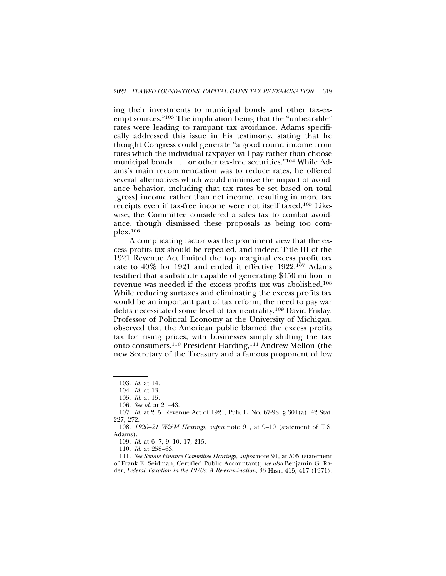ing their investments to municipal bonds and other tax-exempt sources."103 The implication being that the "unbearable" rates were leading to rampant tax avoidance. Adams specifically addressed this issue in his testimony, stating that he thought Congress could generate "a good round income from rates which the individual taxpayer will pay rather than choose municipal bonds . . . or other tax-free securities."104 While Adams's main recommendation was to reduce rates, he offered several alternatives which would minimize the impact of avoidance behavior, including that tax rates be set based on total [gross] income rather than net income, resulting in more tax receipts even if tax-free income were not itself taxed.105 Likewise, the Committee considered a sales tax to combat avoidance, though dismissed these proposals as being too complex.106

A complicating factor was the prominent view that the excess profits tax should be repealed, and indeed Title III of the 1921 Revenue Act limited the top marginal excess profit tax rate to 40% for 1921 and ended it effective 1922.107 Adams testified that a substitute capable of generating \$450 million in revenue was needed if the excess profits tax was abolished.108 While reducing surtaxes and eliminating the excess profits tax would be an important part of tax reform, the need to pay war debts necessitated some level of tax neutrality.109 David Friday, Professor of Political Economy at the University of Michigan, observed that the American public blamed the excess profits tax for rising prices, with businesses simply shifting the tax onto consumers.110 President Harding,111 Andrew Mellon (the new Secretary of the Treasury and a famous proponent of low

<sup>103.</sup> *Id.* at 14.

<sup>104.</sup> *Id.* at 13.

<sup>105.</sup> *Id.* at 15.

<sup>106.</sup> *See id.* at 21–43.

<sup>107.</sup> *Id.* at 215. Revenue Act of 1921, Pub. L. No. 67-98, § 301(a), 42 Stat. 227, 272.

<sup>108.</sup> *1920–21 W&M Hearings*, *supra* note 91, at 9–10 (statement of T.S. Adams).

<sup>109.</sup> *Id*. at 6–7, 9–10, 17, 215.

<sup>110.</sup> *Id.* at 258–63.

<sup>111.</sup> *See Senate Finance Committee Hearings*, *supra* note 91, at 505 (statement of Frank E. Seidman, Certified Public Accountant); *see also* Benjamin G. Rader, *Federal Taxation in the 1920s: A Re-examination*, 33 HIST. 415, 417 (1971).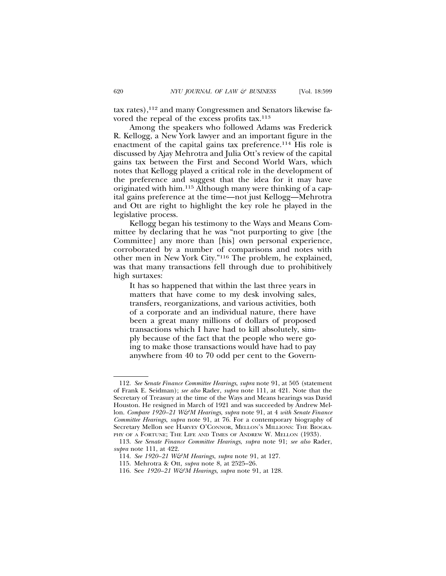tax rates),112 and many Congressmen and Senators likewise favored the repeal of the excess profits tax.113

Among the speakers who followed Adams was Frederick R. Kellogg, a New York lawyer and an important figure in the enactment of the capital gains tax preference.114 His role is discussed by Ajay Mehrotra and Julia Ott's review of the capital gains tax between the First and Second World Wars, which notes that Kellogg played a critical role in the development of the preference and suggest that the idea for it may have originated with him.115 Although many were thinking of a capital gains preference at the time—not just Kellogg—Mehrotra and Ott are right to highlight the key role he played in the legislative process.

Kellogg began his testimony to the Ways and Means Committee by declaring that he was "not purporting to give [the Committee] any more than [his] own personal experience, corroborated by a number of comparisons and notes with other men in New York City."116 The problem, he explained, was that many transactions fell through due to prohibitively high surtaxes:

It has so happened that within the last three years in matters that have come to my desk involving sales, transfers, reorganizations, and various activities, both of a corporate and an individual nature, there have been a great many millions of dollars of proposed transactions which I have had to kill absolutely, simply because of the fact that the people who were going to make those transactions would have had to pay anywhere from 40 to 70 odd per cent to the Govern-

<sup>112.</sup> *See Senate Finance Committee Hearings*, *supra* note 91, at 505 (statement of Frank E. Seidman); *see also* Rader, *supra* note 111, at 421. Note that the Secretary of Treasury at the time of the Ways and Means hearings was David Houston. He resigned in March of 1921 and was succeeded by Andrew Mellon. *Compare 1920–21 W&M Hearings*, *supra* note 91, at 4 *with Senate Finance Committee Hearings*, *supra* note 91, at 76. For a contemporary biography of Secretary Mellon see HARVEY O'CONNOR, MELLON'S MILLIONS: THE BIOGRA-PHY OF A FORTUNE; THE LIFE AND TIMES OF ANDREW W. MELLON (1933).

<sup>113.</sup> *See Senate Finance Committee Hearings*, *supra* note 91; *see also* Rader, *supra* note 111, at 422.

<sup>114.</sup> *See 1920–21 W&M Hearings*, *supra* note 91, at 127.

<sup>115.</sup> Mehrotra & Ott, *supra* note 8, at 2525–26.

<sup>116.</sup> See *1920–21 W&M Hearings*, *supra* note 91, at 128.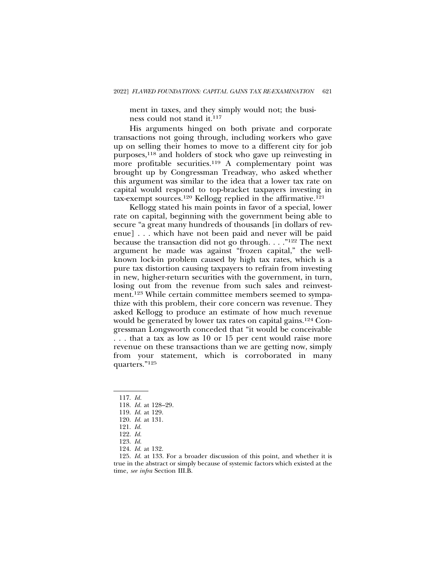ment in taxes, and they simply would not; the business could not stand it.<sup>117</sup>

His arguments hinged on both private and corporate transactions not going through, including workers who gave up on selling their homes to move to a different city for job purposes,<sup>118</sup> and holders of stock who gave up reinvesting in more profitable securities.119 A complementary point was brought up by Congressman Treadway, who asked whether this argument was similar to the idea that a lower tax rate on capital would respond to top-bracket taxpayers investing in tax-exempt sources.120 Kellogg replied in the affirmative.121

Kellogg stated his main points in favor of a special, lower rate on capital, beginning with the government being able to secure "a great many hundreds of thousands [in dollars of revenue] . . . which have not been paid and never will be paid because the transaction did not go through. . . ."122 The next argument he made was against "frozen capital," the wellknown lock-in problem caused by high tax rates, which is a pure tax distortion causing taxpayers to refrain from investing in new, higher-return securities with the government, in turn, losing out from the revenue from such sales and reinvestment.<sup>123</sup> While certain committee members seemed to sympathize with this problem, their core concern was revenue. They asked Kellogg to produce an estimate of how much revenue would be generated by lower tax rates on capital gains.124 Congressman Longsworth conceded that "it would be conceivable . . . that a tax as low as 10 or 15 per cent would raise more revenue on these transactions than we are getting now, simply from your statement, which is corroborated in many quarters."125

120. *Id.* at 131.

- 122. *Id.*
- 123. *Id.*
- 124. *Id.* at 132.

125. *Id.* at 133. For a broader discussion of this point, and whether it is true in the abstract or simply because of systemic factors which existed at the time, *see infra* Section III.B.

<sup>117.</sup> *Id.*

<sup>118.</sup> *Id.* at 128–29.

<sup>119.</sup> *Id.* at 129.

<sup>121.</sup> *Id.*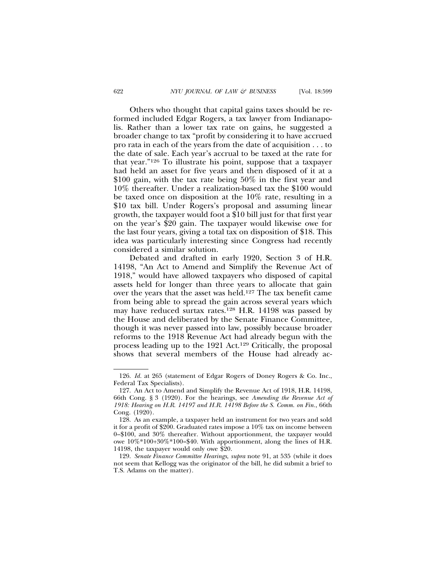Others who thought that capital gains taxes should be reformed included Edgar Rogers, a tax lawyer from Indianapolis. Rather than a lower tax rate on gains, he suggested a broader change to tax "profit by considering it to have accrued pro rata in each of the years from the date of acquisition . . . to the date of sale. Each year's accrual to be taxed at the rate for that year."126 To illustrate his point, suppose that a taxpayer had held an asset for five years and then disposed of it at a \$100 gain, with the tax rate being 50% in the first year and 10% thereafter. Under a realization-based tax the \$100 would be taxed once on disposition at the 10% rate, resulting in a \$10 tax bill. Under Rogers's proposal and assuming linear growth, the taxpayer would foot a \$10 bill just for that first year on the year's \$20 gain. The taxpayer would likewise owe for the last four years, giving a total tax on disposition of \$18. This idea was particularly interesting since Congress had recently considered a similar solution.

Debated and drafted in early 1920, Section 3 of H.R. 14198, "An Act to Amend and Simplify the Revenue Act of 1918," would have allowed taxpayers who disposed of capital assets held for longer than three years to allocate that gain over the years that the asset was held.127 The tax benefit came from being able to spread the gain across several years which may have reduced surtax rates.128 H.R. 14198 was passed by the House and deliberated by the Senate Finance Committee, though it was never passed into law, possibly because broader reforms to the 1918 Revenue Act had already begun with the process leading up to the 1921 Act.129 Critically, the proposal shows that several members of the House had already ac-

<sup>126.</sup> *Id.* at 265 (statement of Edgar Rogers of Doney Rogers & Co. Inc., Federal Tax Specialists).

<sup>127.</sup> An Act to Amend and Simplify the Revenue Act of 1918, H.R. 14198, 66th Cong. § 3 (1920). For the hearings, see *Amending the Revenue Act of 1918: Hearing on H.R. 14197 and H.R. 14198 Before the S. Comm. on Fin.*, 66th Cong. (1920).

<sup>128.</sup> As an example, a taxpayer held an instrument for two years and sold it for a profit of \$200. Graduated rates impose a 10% tax on income between 0–\$100, and 30% thereafter. Without apportionment, the taxpayer would owe 10%\*100+30%\*100=\$40. With apportionment, along the lines of H.R. 14198, the taxpayer would only owe \$20.

<sup>129.</sup> *Senate Finance Committee Hearings*, *supra* note 91, at 535 (while it does not seem that Kellogg was the originator of the bill, he did submit a brief to T.S. Adams on the matter).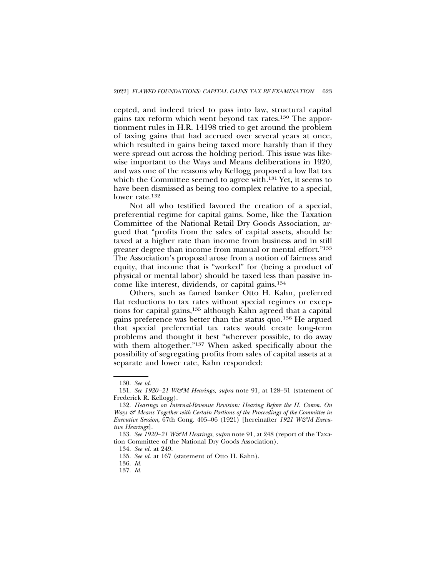cepted, and indeed tried to pass into law, structural capital gains tax reform which went beyond tax rates.130 The apportionment rules in H.R. 14198 tried to get around the problem of taxing gains that had accrued over several years at once, which resulted in gains being taxed more harshly than if they were spread out across the holding period. This issue was likewise important to the Ways and Means deliberations in 1920, and was one of the reasons why Kellogg proposed a low flat tax which the Committee seemed to agree with.<sup>131</sup> Yet, it seems to have been dismissed as being too complex relative to a special, lower rate.<sup>132</sup>

Not all who testified favored the creation of a special, preferential regime for capital gains. Some, like the Taxation Committee of the National Retail Dry Goods Association, argued that "profits from the sales of capital assets, should be taxed at a higher rate than income from business and in still greater degree than income from manual or mental effort."133 The Association's proposal arose from a notion of fairness and equity, that income that is "worked" for (being a product of physical or mental labor) should be taxed less than passive income like interest, dividends, or capital gains.134

Others, such as famed banker Otto H. Kahn, preferred flat reductions to tax rates without special regimes or exceptions for capital gains,135 although Kahn agreed that a capital gains preference was better than the status quo.136 He argued that special preferential tax rates would create long-term problems and thought it best "wherever possible, to do away with them altogether."137 When asked specifically about the possibility of segregating profits from sales of capital assets at a separate and lower rate, Kahn responded:

<sup>130.</sup> *See id.*

<sup>131.</sup> *See 1920–21 W&M Hearings*, *supra* note 91, at 128–31 (statement of Frederick R. Kellogg).

<sup>132.</sup> *Hearings on Internal-Revenue Revision: Hearing Before the H. Comm. On Ways & Means Together with Certain Portions of the Proceedings of the Committee in Executive Session*, 67th Cong. 405–06 (1921) [hereinafter *1921 W&M Executive Hearings*].

<sup>133.</sup> *See 1920*–*21 W&M Hearings*, *supra* note 91, at 248 (report of the Taxation Committee of the National Dry Goods Association).

<sup>134.</sup> *See id.* at 249.

<sup>135.</sup> *See id.* at 167 (statement of Otto H. Kahn).

<sup>136.</sup> *Id.*

<sup>137.</sup> *Id.*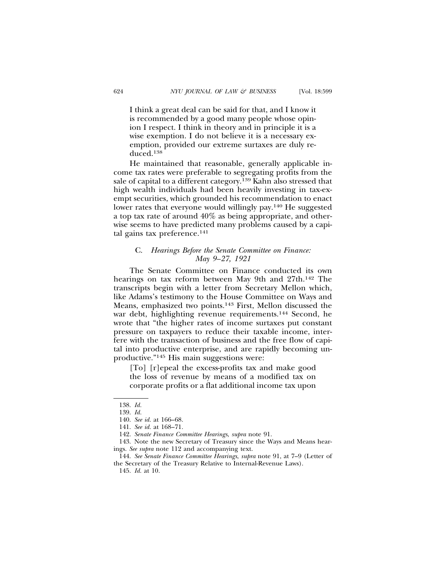I think a great deal can be said for that, and I know it is recommended by a good many people whose opinion I respect. I think in theory and in principle it is a wise exemption. I do not believe it is a necessary exemption, provided our extreme surtaxes are duly reduced.138

He maintained that reasonable, generally applicable income tax rates were preferable to segregating profits from the sale of capital to a different category.139 Kahn also stressed that high wealth individuals had been heavily investing in tax-exempt securities, which grounded his recommendation to enact lower rates that everyone would willingly pay.140 He suggested a top tax rate of around 40% as being appropriate, and otherwise seems to have predicted many problems caused by a capital gains tax preference.141

## C. *Hearings Before the Senate Committee on Finance: May 9–27, 1921*

The Senate Committee on Finance conducted its own hearings on tax reform between May 9th and 27th.142 The transcripts begin with a letter from Secretary Mellon which, like Adams's testimony to the House Committee on Ways and Means, emphasized two points.143 First, Mellon discussed the war debt, highlighting revenue requirements.144 Second, he wrote that "the higher rates of income surtaxes put constant pressure on taxpayers to reduce their taxable income, interfere with the transaction of business and the free flow of capital into productive enterprise, and are rapidly becoming unproductive."145 His main suggestions were:

[To] [r]epeal the excess-profits tax and make good the loss of revenue by means of a modified tax on corporate profits or a flat additional income tax upon

<sup>138.</sup> *Id.*

<sup>139.</sup> *Id.*

<sup>140.</sup> *See id.* at 166–68.

<sup>141.</sup> *See id.* at 168–71.

<sup>142.</sup> *Senate Finance Committee Hearings*, *supra* note 91.

<sup>143.</sup> Note the new Secretary of Treasury since the Ways and Means hearings. *See supra* note 112 and accompanying text.

<sup>144.</sup> *See Senate Finance Committee Hearings*, *supra* note 91, at 7–9 (Letter of the Secretary of the Treasury Relative to Internal-Revenue Laws).

<sup>145.</sup> *Id.* at 10.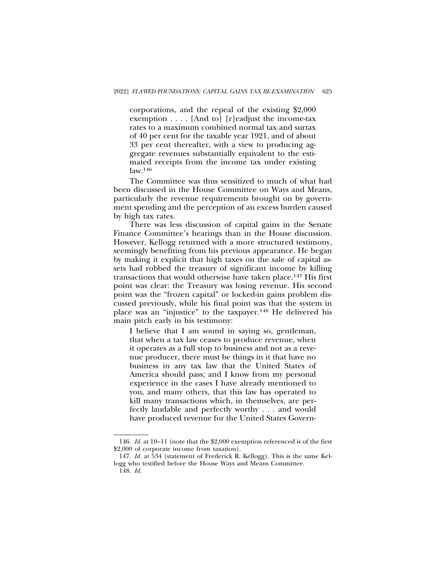corporations, and the repeal of the existing \$2,000 exemption . . . . [And to] [r]eadjust the income-tax rates to a maximum combined normal tax and surtax of 40 per cent for the taxable year 1921, and of about 33 per cent thereafter, with a view to producing aggregate revenues substantially equivalent to the estimated receipts from the income tax under existing law.146

The Committee was thus sensitized to much of what had been discussed in the House Committee on Ways and Means, particularly the revenue requirements brought on by government spending and the perception of an excess burden caused by high tax rates.

There was less discussion of capital gains in the Senate Finance Committee's hearings than in the House discussion. However, Kellogg returned with a more structured testimony, seemingly benefiting from his previous appearance. He began by making it explicit that high taxes on the sale of capital assets had robbed the treasury of significant income by killing transactions that would otherwise have taken place.147 His first point was clear: the Treasury was losing revenue. His second point was the "frozen capital" or locked-in gains problem discussed previously, while his final point was that the system in place was an "injustice" to the taxpayer.148 He delivered his main pitch early in his testimony:

I believe that I am sound in saying so, gentleman, that when a tax law ceases to produce revenue, when it operates as a full stop to business and not as a revenue producer, there must be things in it that have no business in any tax law that the United States of America should pass; and I know from my personal experience in the cases I have already mentioned to you, and many others, that this law has operated to kill many transactions which, in themselves, are perfectly laudable and perfectly worthy . . . and would have produced revenue for the United States Govern-

<sup>146.</sup> *Id.* at 10–11 (note that the \$2,000 exemption referenced is of the first \$2,000 of corporate income from taxation).

<sup>147.</sup> *Id.* at 534 (statement of Frederick R. Kellogg). This is the same Kellogg who testified before the House Ways and Means Committee.

<sup>148.</sup> *Id.*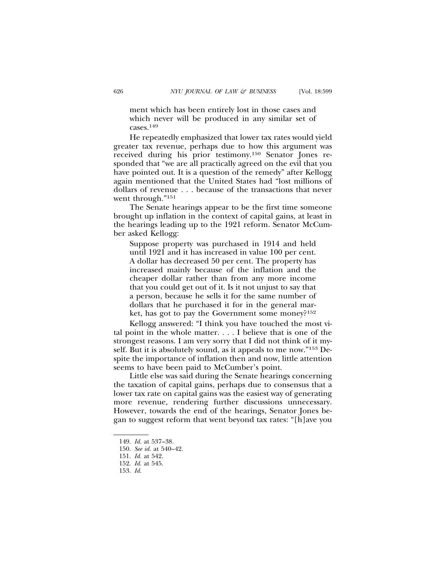ment which has been entirely lost in those cases and which never will be produced in any similar set of cases.149

He repeatedly emphasized that lower tax rates would yield greater tax revenue, perhaps due to how this argument was received during his prior testimony.150 Senator Jones responded that "we are all practically agreed on the evil that you have pointed out. It is a question of the remedy" after Kellogg again mentioned that the United States had "lost millions of dollars of revenue . . . because of the transactions that never went through."151

The Senate hearings appear to be the first time someone brought up inflation in the context of capital gains, at least in the hearings leading up to the 1921 reform. Senator McCumber asked Kellogg:

Suppose property was purchased in 1914 and held until 1921 and it has increased in value 100 per cent. A dollar has decreased 50 per cent. The property has increased mainly because of the inflation and the cheaper dollar rather than from any more income that you could get out of it. Is it not unjust to say that a person, because he sells it for the same number of dollars that he purchased it for in the general market, has got to pay the Government some money?152

Kellogg answered: "I think you have touched the most vital point in the whole matter. . . . I believe that is one of the strongest reasons. I am very sorry that I did not think of it myself. But it is absolutely sound, as it appeals to me now."153 Despite the importance of inflation then and now, little attention seems to have been paid to McCumber's point.

Little else was said during the Senate hearings concerning the taxation of capital gains, perhaps due to consensus that a lower tax rate on capital gains was the easiest way of generating more revenue, rendering further discussions unnecessary. However, towards the end of the hearings, Senator Jones began to suggest reform that went beyond tax rates: "[h]ave you

153. *Id.*

<sup>149.</sup> *Id.* at 537–38.

<sup>150.</sup> *See id.* at 540–42.

<sup>151.</sup> *Id.* at 542.

<sup>152.</sup> *Id.* at 545.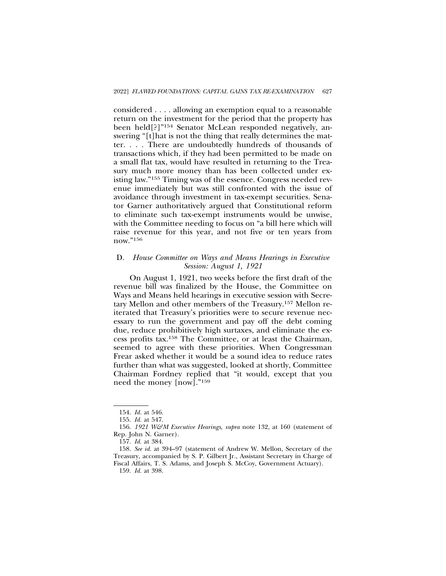considered . . . . allowing an exemption equal to a reasonable return on the investment for the period that the property has been held[?]"154 Senator McLean responded negatively, answering "[t]hat is not the thing that really determines the matter. . . . There are undoubtedly hundreds of thousands of transactions which, if they had been permitted to be made on a small flat tax, would have resulted in returning to the Treasury much more money than has been collected under existing law."155 Timing was of the essence. Congress needed revenue immediately but was still confronted with the issue of avoidance through investment in tax-exempt securities. Senator Garner authoritatively argued that Constitutional reform to eliminate such tax-exempt instruments would be unwise, with the Committee needing to focus on "a bill here which will raise revenue for this year, and not five or ten years from now."156

# D. *House Committee on Ways and Means Hearings in Executive Session: August 1, 1921*

On August 1, 1921, two weeks before the first draft of the revenue bill was finalized by the House, the Committee on Ways and Means held hearings in executive session with Secretary Mellon and other members of the Treasury.157 Mellon reiterated that Treasury's priorities were to secure revenue necessary to run the government and pay off the debt coming due, reduce prohibitively high surtaxes, and eliminate the excess profits tax.158 The Committee, or at least the Chairman, seemed to agree with these priorities. When Congressman Frear asked whether it would be a sound idea to reduce rates further than what was suggested, looked at shortly, Committee Chairman Fordney replied that "it would, except that you need the money [now]."159

<sup>154.</sup> *Id.* at 546.

<sup>155.</sup> *Id.* at 547.

<sup>156.</sup> *1921 W&M Executive Hearings*, *supra* note 132, at 160 (statement of Rep. John N. Garner).

<sup>157.</sup> *Id.* at 384.

<sup>158.</sup> *See id.* at 394–97 (statement of Andrew W. Mellon, Secretary of the Treasury, accompanied by S. P. Gilbert Jr., Assistant Secretary in Charge of Fiscal Affairs, T. S. Adams, and Joseph S. McCoy, Government Actuary).

<sup>159.</sup> *Id.* at 398.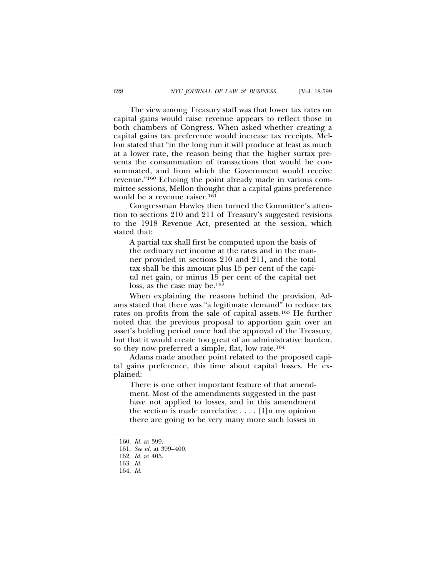The view among Treasury staff was that lower tax rates on capital gains would raise revenue appears to reflect those in both chambers of Congress. When asked whether creating a capital gains tax preference would increase tax receipts, Mellon stated that "in the long run it will produce at least as much at a lower rate, the reason being that the higher surtax prevents the consummation of transactions that would be consummated, and from which the Government would receive revenue."160 Echoing the point already made in various committee sessions, Mellon thought that a capital gains preference would be a revenue raiser.161

Congressman Hawley then turned the Committee's attention to sections 210 and 211 of Treasury's suggested revisions to the 1918 Revenue Act, presented at the session, which stated that:

A partial tax shall first be computed upon the basis of the ordinary net income at the rates and in the manner provided in sections 210 and 211, and the total tax shall be this amount plus 15 per cent of the capital net gain, or minus 15 per cent of the capital net loss, as the case may be.162

When explaining the reasons behind the provision, Adams stated that there was "a legitimate demand" to reduce tax rates on profits from the sale of capital assets.163 He further noted that the previous proposal to apportion gain over an asset's holding period once had the approval of the Treasury, but that it would create too great of an administrative burden, so they now preferred a simple, flat, low rate.164

Adams made another point related to the proposed capital gains preference, this time about capital losses. He explained:

There is one other important feature of that amendment. Most of the amendments suggested in the past have not applied to losses, and in this amendment the section is made correlative  $\dots$ . [I]n my opinion there are going to be very many more such losses in

<sup>160.</sup> *Id.* at 399.

<sup>161.</sup> *See id.* at 399–400.

<sup>162.</sup> *Id.* at 405.

<sup>163.</sup> *Id.*

<sup>164.</sup> *Id.*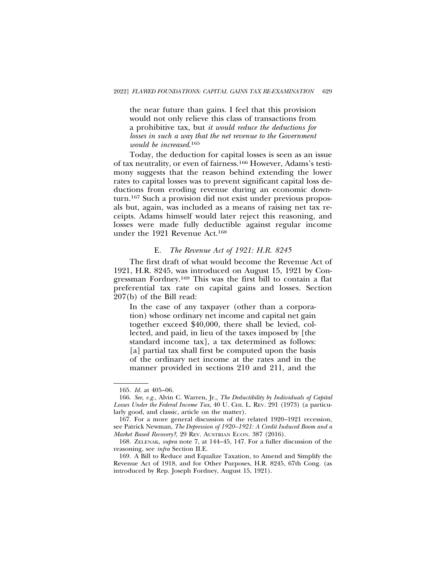the near future than gains. I feel that this provision would not only relieve this class of transactions from a prohibitive tax, but *it would reduce the deductions for losses in such a way that the net revenue to the Government would be increased*. 165

Today, the deduction for capital losses is seen as an issue of tax neutrality, or even of fairness.166 However, Adams's testimony suggests that the reason behind extending the lower rates to capital losses was to prevent significant capital loss deductions from eroding revenue during an economic downturn.167 Such a provision did not exist under previous proposals but, again, was included as a means of raising net tax receipts. Adams himself would later reject this reasoning, and losses were made fully deductible against regular income under the 1921 Revenue Act.168

#### E. *The Revenue Act of 1921: H.R. 8245*

The first draft of what would become the Revenue Act of 1921, H.R. 8245, was introduced on August 15, 1921 by Congressman Fordney.169 This was the first bill to contain a flat preferential tax rate on capital gains and losses. Section 207(b) of the Bill read:

In the case of any taxpayer (other than a corporation) whose ordinary net income and capital net gain together exceed \$40,000, there shall be levied, collected, and paid, in lieu of the taxes imposed by [the standard income tax], a tax determined as follows: [a] partial tax shall first be computed upon the basis of the ordinary net income at the rates and in the manner provided in sections 210 and 211, and the

<sup>165.</sup> *Id.* at 405–06.

<sup>166.</sup> *See, e.g.*, Alvin C. Warren, Jr., *The Deductibility by Individuals of Capital* Losses Under the Federal Income Tax, 40 U. CHI. L. REV. 291 (1973) (a particularly good, and classic, article on the matter).

<sup>167.</sup> For a more general discussion of the related 1920–1921 recession, see Patrick Newman, *The Depression of 1920–1921: A Credit Induced Boom and a Market Based Recovery?*, 29 REV. AUSTRIAN ECON. 387 (2016).

<sup>168.</sup> ZELENAK, *supra* note 7, at 144–45, 147. For a fuller discussion of the reasoning, see *infra* Section II.E.

<sup>169.</sup> A Bill to Reduce and Equalize Taxation, to Amend and Simplify the Revenue Act of 1918, and for Other Purposes, H.R. 8245, 67th Cong. (as introduced by Rep. Joseph Fordney, August 15, 1921).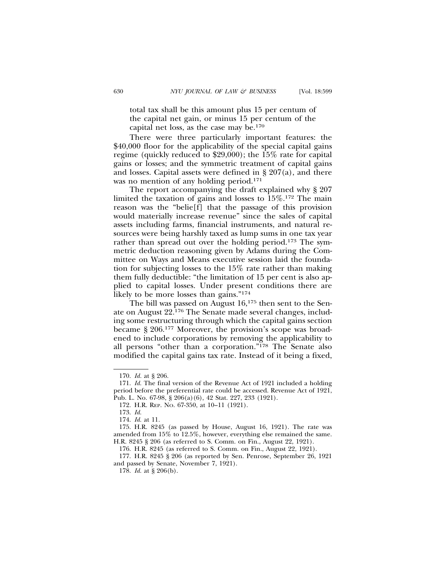total tax shall be this amount plus 15 per centum of the capital net gain, or minus 15 per centum of the capital net loss, as the case may be.170

There were three particularly important features: the \$40,000 floor for the applicability of the special capital gains regime (quickly reduced to \$29,000); the 15% rate for capital gains or losses; and the symmetric treatment of capital gains and losses. Capital assets were defined in  $\S 207(a)$ , and there was no mention of any holding period.171

The report accompanying the draft explained why § 207 limited the taxation of gains and losses to 15%.172 The main reason was the "belie[f] that the passage of this provision would materially increase revenue" since the sales of capital assets including farms, financial instruments, and natural resources were being harshly taxed as lump sums in one tax year rather than spread out over the holding period.<sup>173</sup> The symmetric deduction reasoning given by Adams during the Committee on Ways and Means executive session laid the foundation for subjecting losses to the 15% rate rather than making them fully deductible: "the limitation of 15 per cent is also applied to capital losses. Under present conditions there are likely to be more losses than gains."<sup>174</sup>

The bill was passed on August 16,175 then sent to the Senate on August 22.176 The Senate made several changes, including some restructuring through which the capital gains section became § 206.177 Moreover, the provision's scope was broadened to include corporations by removing the applicability to all persons "other than a corporation."178 The Senate also modified the capital gains tax rate. Instead of it being a fixed,

<sup>170.</sup> *Id.* at § 206.

<sup>171.</sup> *Id.* The final version of the Revenue Act of 1921 included a holding period before the preferential rate could be accessed. Revenue Act of 1921, Pub. L. No. 67-98, § 206(a)(6), 42 Stat. 227, 233 (1921).

<sup>172.</sup> H.R. REP. NO. 67-350, at 10–11 (1921).

<sup>173.</sup> *Id.*

<sup>174.</sup> *Id.* at 11.

<sup>175.</sup> H.R. 8245 (as passed by House, August 16, 1921). The rate was amended from 15% to 12.5%, however, everything else remained the same. H.R. 8245 § 206 (as referred to S. Comm. on Fin., August 22, 1921).

<sup>176.</sup> H.R. 8245 (as referred to S. Comm. on Fin., August 22, 1921).

<sup>177.</sup> H.R. 8245 § 206 (as reported by Sen. Penrose, September 26, 1921 and passed by Senate, November 7, 1921).

<sup>178.</sup> *Id.* at § 206(b).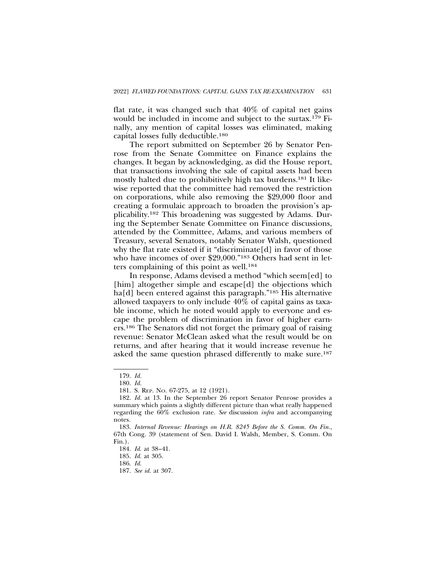flat rate, it was changed such that 40% of capital net gains would be included in income and subject to the surtax.179 Finally, any mention of capital losses was eliminated, making capital losses fully deductible.180

The report submitted on September 26 by Senator Penrose from the Senate Committee on Finance explains the changes. It began by acknowledging, as did the House report, that transactions involving the sale of capital assets had been mostly halted due to prohibitively high tax burdens.181 It likewise reported that the committee had removed the restriction on corporations, while also removing the \$29,000 floor and creating a formulaic approach to broaden the provision's applicability.182 This broadening was suggested by Adams. During the September Senate Committee on Finance discussions, attended by the Committee, Adams, and various members of Treasury, several Senators, notably Senator Walsh, questioned why the flat rate existed if it "discriminate[d] in favor of those who have incomes of over \$29,000."183 Others had sent in letters complaining of this point as well.184

In response, Adams devised a method "which seem[ed] to [him] altogether simple and escape[d] the objections which ha<sup>[d]</sup> been entered against this paragraph."<sup>185</sup> His alternative allowed taxpayers to only include 40% of capital gains as taxable income, which he noted would apply to everyone and escape the problem of discrimination in favor of higher earners.186 The Senators did not forget the primary goal of raising revenue: Senator McClean asked what the result would be on returns, and after hearing that it would increase revenue he asked the same question phrased differently to make sure.<sup>187</sup>

<sup>179.</sup> *Id.*

<sup>180.</sup> *Id.*

<sup>181.</sup> S. REP. NO. 67-275, at 12 (1921).

<sup>182.</sup> *Id.* at 13. In the September 26 report Senator Penrose provides a summary which paints a slightly different picture than what really happened regarding the 60% exclusion rate. *See* discussion *infra* and accompanying notes.

<sup>183.</sup> *Internal Revenue: Hearings on H.R. 8245 Before the S. Comm. On Fin.*, 67th Cong. 39 (statement of Sen. David I. Walsh, Member, S. Comm. On Fin.).

<sup>184.</sup> *Id.* at 38–41.

<sup>185.</sup> *Id.* at 305.

<sup>186.</sup> *Id.*

<sup>187.</sup> *See id.* at 307.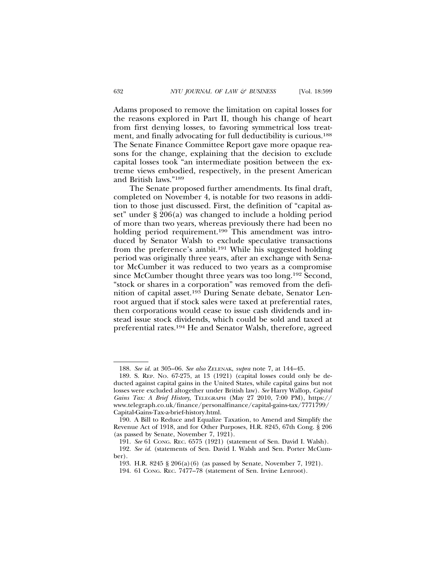Adams proposed to remove the limitation on capital losses for the reasons explored in Part II, though his change of heart from first denying losses, to favoring symmetrical loss treatment, and finally advocating for full deductibility is curious.188 The Senate Finance Committee Report gave more opaque reasons for the change, explaining that the decision to exclude capital losses took "an intermediate position between the extreme views embodied, respectively, in the present American and British laws."189

The Senate proposed further amendments. Its final draft, completed on November 4, is notable for two reasons in addition to those just discussed. First, the definition of "capital asset" under § 206(a) was changed to include a holding period of more than two years, whereas previously there had been no holding period requirement.<sup>190</sup> This amendment was introduced by Senator Walsh to exclude speculative transactions from the preference's ambit.191 While his suggested holding period was originally three years, after an exchange with Senator McCumber it was reduced to two years as a compromise since McCumber thought three years was too long.192 Second, "stock or shares in a corporation" was removed from the definition of capital asset.193 During Senate debate, Senator Lenroot argued that if stock sales were taxed at preferential rates, then corporations would cease to issue cash dividends and instead issue stock dividends, which could be sold and taxed at preferential rates.194 He and Senator Walsh, therefore, agreed

<sup>188.</sup> *See id.* at 305–06. *See also* ZELENAK, *supra* note 7, at 144–45.

<sup>189.</sup> S. REP. NO. 67-275, at 13 (1921) (capital losses could only be deducted against capital gains in the United States, while capital gains but not losses were excluded altogether under British law). *See* Harry Wallop, *Capital Gains Tax: A Brief History,* TELEGRAPH (May 27 2010, 7:00 PM), https:// www.telegraph.co.uk/finance/personalfinance/capital-gains-tax/7771799/ Capital-Gains-Tax-a-brief-history.html.

<sup>190.</sup> A Bill to Reduce and Equalize Taxation, to Amend and Simplify the Revenue Act of 1918, and for Other Purposes, H.R. 8245, 67th Cong. § 206 (as passed by Senate, November 7, 1921).

<sup>191.</sup> *See* 61 CONG. REC. 6575 (1921) (statement of Sen. David I. Walsh).

<sup>192.</sup> *See id.* (statements of Sen. David I. Walsh and Sen. Porter McCumber).

<sup>193.</sup> H.R. 8245 § 206(a)(6) (as passed by Senate, November 7, 1921).

<sup>194. 61</sup> CONG. REC. 7477–78 (statement of Sen. Irvine Lenroot).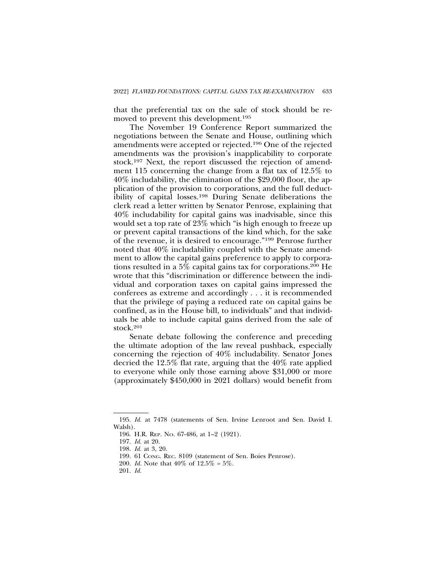that the preferential tax on the sale of stock should be removed to prevent this development.195

The November 19 Conference Report summarized the negotiations between the Senate and House, outlining which amendments were accepted or rejected.196 One of the rejected amendments was the provision's inapplicability to corporate stock.197 Next, the report discussed the rejection of amendment 115 concerning the change from a flat tax of 12.5% to 40% includability, the elimination of the \$29,000 floor, the application of the provision to corporations, and the full deductibility of capital losses.198 During Senate deliberations the clerk read a letter written by Senator Penrose, explaining that 40% includability for capital gains was inadvisable, since this would set a top rate of 23% which "is high enough to freeze up or prevent capital transactions of the kind which, for the sake of the revenue, it is desired to encourage."199 Penrose further noted that 40% includability coupled with the Senate amendment to allow the capital gains preference to apply to corporations resulted in a 5% capital gains tax for corporations.200 He wrote that this "discrimination or difference between the individual and corporation taxes on capital gains impressed the conferees as extreme and accordingly . . . it is recommended that the privilege of paying a reduced rate on capital gains be confined, as in the House bill, to individuals" and that individuals be able to include capital gains derived from the sale of stock.201

Senate debate following the conference and preceding the ultimate adoption of the law reveal pushback, especially concerning the rejection of 40% includability. Senator Jones decried the 12.5% flat rate, arguing that the 40% rate applied to everyone while only those earning above \$31,000 or more (approximately \$450,000 in 2021 dollars) would benefit from

<sup>195.</sup> *Id.* at 7478 (statements of Sen. Irvine Lenroot and Sen. David I. Walsh).

<sup>196.</sup> H.R. REP. NO. 67-486, at 1–2 (1921).

<sup>197.</sup> *Id.* at 20.

<sup>198.</sup> *Id.* at 3, 20.

<sup>199. 61</sup> CONG. REC. 8109 (statement of Sen. Boies Penrose).

<sup>200.</sup> *Id.* Note that 40% of 12.5% = 5%.

<sup>201.</sup> *Id.*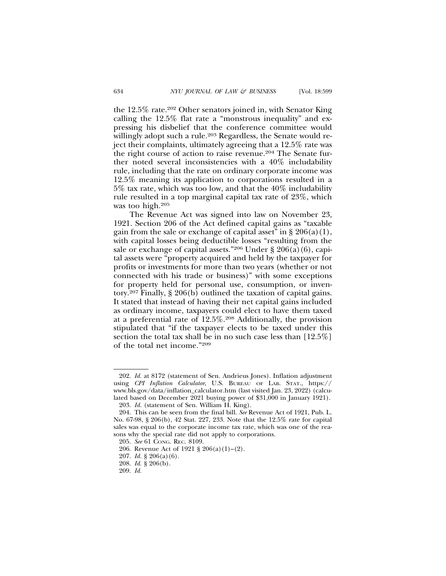the 12.5% rate.202 Other senators joined in, with Senator King calling the 12.5% flat rate a "monstrous inequality" and expressing his disbelief that the conference committee would willingly adopt such a rule.<sup>203</sup> Regardless, the Senate would reject their complaints, ultimately agreeing that a 12.5% rate was the right course of action to raise revenue.204 The Senate further noted several inconsistencies with a 40% includability rule, including that the rate on ordinary corporate income was 12.5% meaning its application to corporations resulted in a 5% tax rate, which was too low, and that the 40% includability rule resulted in a top marginal capital tax rate of 23%, which was too high.205

The Revenue Act was signed into law on November 23, 1921. Section 206 of the Act defined capital gains as "taxable gain from the sale or exchange of capital asset" in  $\S 206(a)(1)$ , with capital losses being deductible losses "resulting from the sale or exchange of capital assets."206 Under § 206(a)(6), capital assets were "property acquired and held by the taxpayer for profits or investments for more than two years (whether or not connected with his trade or business)" with some exceptions for property held for personal use, consumption, or inventory.207 Finally, § 206(b) outlined the taxation of capital gains. It stated that instead of having their net capital gains included as ordinary income, taxpayers could elect to have them taxed at a preferential rate of 12.5%.208 Additionally, the provision stipulated that "if the taxpayer elects to be taxed under this section the total tax shall be in no such case less than [12.5%] of the total net income."209

<sup>202.</sup> *Id.* at 8172 (statement of Sen. Andrieus Jones). Inflation adjustment using *CPI Inflation Calculator*, U.S. BUREAU OF LAB. STAT., https:// www.bls.gov/data/inflation\_calculator.htm (last visited Jan. 23, 2022) (calculated based on December 2021 buying power of \$31,000 in January 1921).

<sup>203.</sup> *Id.* (statement of Sen. William H. King).

<sup>204.</sup> This can be seen from the final bill. *See* Revenue Act of 1921, Pub. L. No. 67-98, § 206(b), 42 Stat. 227, 233. Note that the 12.5% rate for capital sales was equal to the corporate income tax rate, which was one of the reasons why the special rate did not apply to corporations.

<sup>205.</sup> *See* 61 CONG. REC. 8109.

<sup>206.</sup> Revenue Act of 1921 § 206(a)(1)–(2).

<sup>207.</sup> *Id.* § 206(a)(6).

<sup>208.</sup> *Id.* § 206(b).

<sup>209.</sup> *Id.*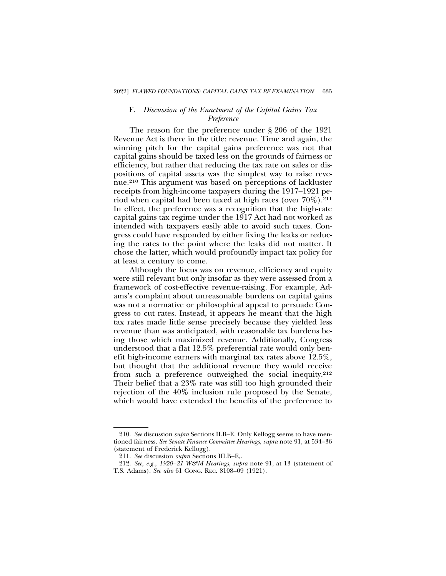## F. *Discussion of the Enactment of the Capital Gains Tax Preference*

The reason for the preference under § 206 of the 1921 Revenue Act is there in the title: revenue. Time and again, the winning pitch for the capital gains preference was not that capital gains should be taxed less on the grounds of fairness or efficiency, but rather that reducing the tax rate on sales or dispositions of capital assets was the simplest way to raise revenue.210 This argument was based on perceptions of lackluster receipts from high-income taxpayers during the 1917–1921 period when capital had been taxed at high rates (over  $70\%$ ).<sup>211</sup> In effect, the preference was a recognition that the high-rate capital gains tax regime under the 1917 Act had not worked as intended with taxpayers easily able to avoid such taxes. Congress could have responded by either fixing the leaks or reducing the rates to the point where the leaks did not matter. It chose the latter, which would profoundly impact tax policy for at least a century to come.

Although the focus was on revenue, efficiency and equity were still relevant but only insofar as they were assessed from a framework of cost-effective revenue-raising. For example, Adams's complaint about unreasonable burdens on capital gains was not a normative or philosophical appeal to persuade Congress to cut rates. Instead, it appears he meant that the high tax rates made little sense precisely because they yielded less revenue than was anticipated, with reasonable tax burdens being those which maximized revenue. Additionally, Congress understood that a flat 12.5% preferential rate would only benefit high-income earners with marginal tax rates above 12.5%, but thought that the additional revenue they would receive from such a preference outweighed the social inequity.212 Their belief that a 23% rate was still too high grounded their rejection of the 40% inclusion rule proposed by the Senate, which would have extended the benefits of the preference to

<sup>210.</sup> *See* discussion *supra* Sections II.B–E. Only Kellogg seems to have mentioned fairness. *See Senate Finance Committee Hearings*, *supra* note 91, at 534–36 (statement of Frederick Kellogg).

<sup>211.</sup> *See* discussion *supra* Sections III.B–E,.

<sup>212.</sup> *See, e.g.*, *1920–21 W&M Hearings*, *supra* note 91, at 13 (statement of T.S. Adams). *See also* 61 CONG. REC. 8108–09 (1921).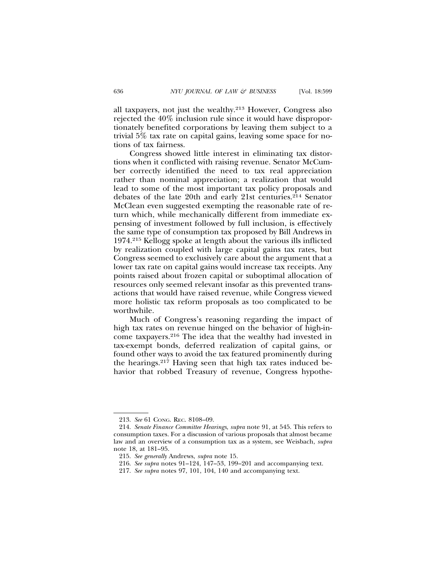all taxpayers, not just the wealthy.213 However, Congress also rejected the 40% inclusion rule since it would have disproportionately benefited corporations by leaving them subject to a trivial 5% tax rate on capital gains, leaving some space for notions of tax fairness.

Congress showed little interest in eliminating tax distortions when it conflicted with raising revenue. Senator McCumber correctly identified the need to tax real appreciation rather than nominal appreciation; a realization that would lead to some of the most important tax policy proposals and debates of the late 20th and early 21st centuries.214 Senator McClean even suggested exempting the reasonable rate of return which, while mechanically different from immediate expensing of investment followed by full inclusion, is effectively the same type of consumption tax proposed by Bill Andrews in 1974.215 Kellogg spoke at length about the various ills inflicted by realization coupled with large capital gains tax rates, but Congress seemed to exclusively care about the argument that a lower tax rate on capital gains would increase tax receipts. Any points raised about frozen capital or suboptimal allocation of resources only seemed relevant insofar as this prevented transactions that would have raised revenue, while Congress viewed more holistic tax reform proposals as too complicated to be worthwhile.

Much of Congress's reasoning regarding the impact of high tax rates on revenue hinged on the behavior of high-income taxpayers.216 The idea that the wealthy had invested in tax-exempt bonds, deferred realization of capital gains, or found other ways to avoid the tax featured prominently during the hearings.217 Having seen that high tax rates induced behavior that robbed Treasury of revenue, Congress hypothe-

<sup>213.</sup> *See* 61 CONG. REC. 8108–09.

<sup>214.</sup> *Senate Finance Committee Hearings*, *supra* note 91, at 545. This refers to consumption taxes. For a discussion of various proposals that almost became law and an overview of a consumption tax as a system, see Weisbach, *supra* note 18, at 181–95.

<sup>215.</sup> *See generally* Andrews, *supra* note 15.

<sup>216.</sup> *See supra* notes 91–124, 147–53, 199–201 and accompanying text.

<sup>217.</sup> *See supra* notes 97, 101, 104, 140 and accompanying text.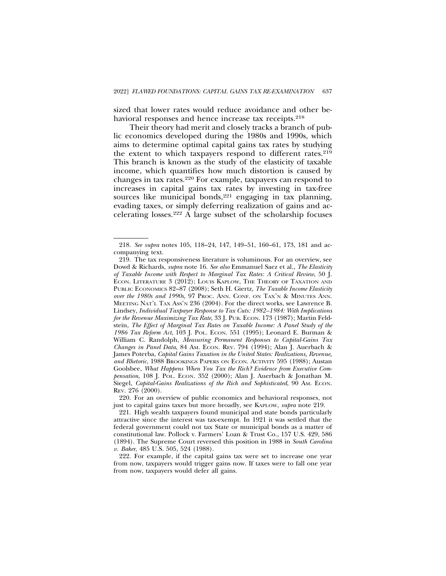sized that lower rates would reduce avoidance and other behavioral responses and hence increase tax receipts.<sup>218</sup>

Their theory had merit and closely tracks a branch of public economics developed during the 1980s and 1990s, which aims to determine optimal capital gains tax rates by studying the extent to which taxpayers respond to different rates.219 This branch is known as the study of the elasticity of taxable income, which quantifies how much distortion is caused by changes in tax rates.220 For example, taxpayers can respond to increases in capital gains tax rates by investing in tax-free sources like municipal bonds, $221$  engaging in tax planning, evading taxes, or simply deferring realization of gains and accelerating losses.222 A large subset of the scholarship focuses

<sup>218.</sup> *See supra* notes 105, 118–24, 147, 149–51, 160–61, 173, 181 and accompanying text.

<sup>219.</sup> The tax responsiveness literature is voluminous. For an overview, see Dowd & Richards, *supra* note 16. *See also* Emmanuel Saez et al., *The Elasticity of Taxable Income with Respect to Marginal Tax Rates: A Critical Review*, 50 J. ECON. LITERATURE 3 (2012); LOUIS KAPLOW, THE THEORY OF TAXATION AND PUBLIC ECONOMICS 82–87 (2008); Seth H. Giertz, *The Taxable Income Elasticity over the 1980s and 1990s,* 97 PROC. ANN. CONF. ON TAX'N & MINUTES ANN. MEETING NAT'L TAX ASS'N 236 (2004). For the direct works, see Lawrence B. Lindsey, *Individual Taxpayer Response to Tax Cuts: 1982–1984: With Implications for the Revenue Maximizing Tax Rate*, 33 J. PUB. ECON. 173 (1987); Martin Feldstein, *The Effect of Marginal Tax Rates on Taxable Income: A Panel Study of the 1986 Tax Reform Act*, 103 J. POL. ECON. 551 (1995); Leonard E. Burman & William C. Randolph, *Measuring Permanent Responses to Capital-Gains Tax Changes in Panel Data*, 84 AM. ECON. REV. 794 (1994); Alan J. Auerbach & James Poterba, *Capital Gains Taxation in the United States: Realizations, Revenue, and Rhetoric*, 1988 BROOKINGS PAPERS ON ECON. ACTIVITY 595 (1988); Austan Goolsbee, *What Happens When You Tax the Rich? Evidence from Executive Compensation*, 108 J. POL. ECON. 352 (2000); Alan J. Auerbach & Jonathan M. Siegel, *Capital-Gains Realizations of the Rich and Sophisticated*, 90 Am. ECON. REV. 276 (2000).

<sup>220.</sup> For an overview of public economics and behavioral responses, not just to capital gains taxes but more broadly, see KAPLOW, *supra* note 219.

<sup>221.</sup> High wealth taxpayers found municipal and state bonds particularly attractive since the interest was tax-exempt. In 1921 it was settled that the federal government could not tax State or municipal bonds as a matter of constitutional law. Pollock v. Farmers' Loan & Trust Co., 157 U.S. 429, 586 (1894). The Supreme Court reversed this position in 1988 in *South Carolina v. Baker*, 485 U.S. 505, 524 (1988).

<sup>222.</sup> For example, if the capital gains tax were set to increase one year from now, taxpayers would trigger gains now. If taxes were to fall one year from now, taxpayers would defer all gains.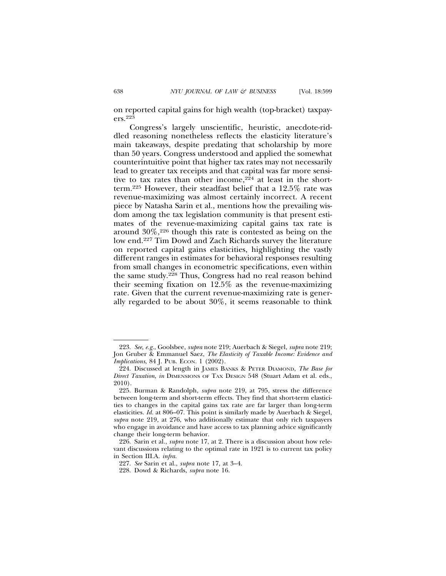on reported capital gains for high wealth (top-bracket) taxpayers.223

Congress's largely unscientific, heuristic, anecdote-riddled reasoning nonetheless reflects the elasticity literature's main takeaways, despite predating that scholarship by more than 50 years. Congress understood and applied the somewhat counterintuitive point that higher tax rates may not necessarily lead to greater tax receipts and that capital was far more sensitive to tax rates than other income,  $2\overline{24}$  at least in the shortterm.225 However, their steadfast belief that a 12.5% rate was revenue-maximizing was almost certainly incorrect. A recent piece by Natasha Sarin et al., mentions how the prevailing wisdom among the tax legislation community is that present estimates of the revenue-maximizing capital gains tax rate is around  $30\%,^{226}$  though this rate is contested as being on the low end.227 Tim Dowd and Zach Richards survey the literature on reported capital gains elasticities, highlighting the vastly different ranges in estimates for behavioral responses resulting from small changes in econometric specifications, even within the same study.228 Thus, Congress had no real reason behind their seeming fixation on 12.5% as the revenue-maximizing rate. Given that the current revenue-maximizing rate is generally regarded to be about 30%, it seems reasonable to think

<sup>223.</sup> *See*, *e.g.*, Goolsbee, *supra* note 219; Auerbach & Siegel, *supra* note 219; Jon Gruber & Emmanuel Saez, *The Elasticity of Taxable Income: Evidence and Implications*, 84 J. PUB. ECON. 1 (2002).

<sup>224.</sup> Discussed at length in JAMES BANKS & PETER DIAMOND, *The Base for Direct Taxation*, *in* DIMENSIONS OF TAX DESIGN 548 (Stuart Adam et al. eds., 2010).

<sup>225.</sup> Burman & Randolph, *supra* note 219, at 795, stress the difference between long-term and short-term effects. They find that short-term elasticities to changes in the capital gains tax rate are far larger than long-term elasticities. *Id.* at 806–07. This point is similarly made by Auerbach & Siegel, *supra* note 219, at 276, who additionally estimate that only rich taxpayers who engage in avoidance and have access to tax planning advice significantly change their long-term behavior.

<sup>226.</sup> Sarin et al., *supra* note 17, at 2. There is a discussion about how relevant discussions relating to the optimal rate in 1921 is to current tax policy in Section III.A. *infra*.

<sup>227.</sup> *See* Sarin et al., *supra* note 17, at 3–4.

<sup>228.</sup> Dowd & Richards, *supra* note 16.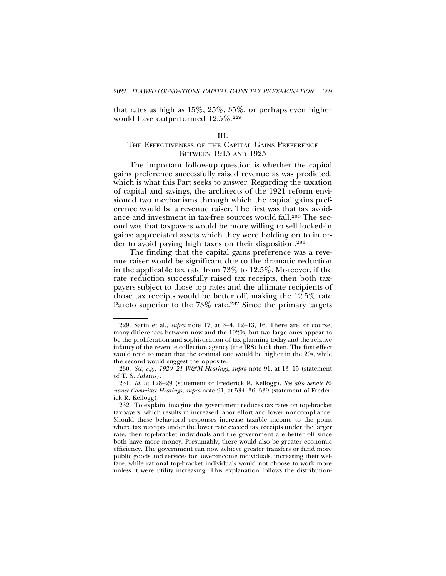that rates as high as 15%, 25%, 35%, or perhaps even higher would have outperformed 12.5%.229

### III.

# THE EFFECTIVENESS OF THE CAPITAL GAINS PREFERENCE BETWEEN 1915 AND 1925

The important follow-up question is whether the capital gains preference successfully raised revenue as was predicted, which is what this Part seeks to answer. Regarding the taxation of capital and savings, the architects of the 1921 reform envisioned two mechanisms through which the capital gains preference would be a revenue raiser. The first was that tax avoidance and investment in tax-free sources would fall.230 The second was that taxpayers would be more willing to sell locked-in gains: appreciated assets which they were holding on to in order to avoid paying high taxes on their disposition.231

The finding that the capital gains preference was a revenue raiser would be significant due to the dramatic reduction in the applicable tax rate from 73% to 12.5%. Moreover, if the rate reduction successfully raised tax receipts, then both taxpayers subject to those top rates and the ultimate recipients of those tax receipts would be better off, making the 12.5% rate Pareto superior to the 73% rate.<sup>232</sup> Since the primary targets

<sup>229.</sup> Sarin et al., *supra* note 17, at 3–4, 12–13, 16. There are, of course, many differences between now and the 1920s, but two large ones appear to be the proliferation and sophistication of tax planning today and the relative infancy of the revenue collection agency (the IRS) back then. The first effect would tend to mean that the optimal rate would be higher in the 20s, while the second would suggest the opposite.

<sup>230.</sup> *See, e.g.*, *1920–21 W&M Hearings*, *supra* note 91, at 13–15 (statement of T. S. Adams).

<sup>231.</sup> *Id.* at 128–29 (statement of Frederick R. Kellogg). *See also Senate Finance Committee Hearings*, *supra* note 91, at 534–36, 539 (statement of Frederick R. Kellogg).

<sup>232.</sup> To explain, imagine the government reduces tax rates on top-bracket taxpayers, which results in increased labor effort and lower noncompliance. Should these behavioral responses increase taxable income to the point where tax receipts under the lower rate exceed tax receipts under the larger rate, then top-bracket individuals and the government are better off since both have more money. Presumably, there would also be greater economic efficiency. The government can now achieve greater transfers or fund more public goods and services for lower-income individuals, increasing their welfare, while rational top-bracket individuals would not choose to work more unless it were utility increasing. This explanation follows the distribution-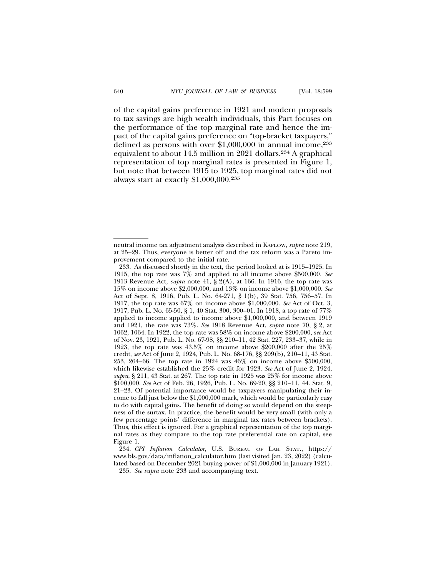of the capital gains preference in 1921 and modern proposals to tax savings are high wealth individuals, this Part focuses on the performance of the top marginal rate and hence the impact of the capital gains preference on "top-bracket taxpayers," defined as persons with over \$1,000,000 in annual income,<sup>233</sup> equivalent to about 14.5 million in 2021 dollars.234 A graphical representation of top marginal rates is presented in Figure 1, but note that between 1915 to 1925, top marginal rates did not always start at exactly  $$1,000,000$ .<sup>235</sup>

neutral income tax adjustment analysis described in KAPLOW, *supra* note 219, at 25–29. Thus, everyone is better off and the tax reform was a Pareto improvement compared to the initial rate.

<sup>233.</sup> As discussed shortly in the text, the period looked at is 1915–1925. In 1915, the top rate was 7% and applied to all income above \$500,000. *See* 1913 Revenue Act, *supra* note 41, § 2(A), at 166. In 1916, the top rate was 15% on income above \$2,000,000, and 13% on income above \$1,000,000. *See* Act of Sept. 8, 1916, Pub. L. No. 64-271, § 1(b), 39 Stat. 756, 756–57. In 1917, the top rate was 67% on income above \$1,000,000. *See* Act of Oct. 3, 1917, Pub. L. No. 65-50, § 1, 40 Stat. 300, 300–01. In 1918, a top rate of 77% applied to income applied to income above \$1,000,000, and between 1919 and 1921, the rate was 73%. *See* 1918 Revenue Act, *supra* note 70, § 2, at 1062, 1064. In 1922, the top rate was 58% on income above \$200,000, s*ee* Act of Nov. 23, 1921, Pub. L. No. 67-98, §§ 210–11, 42 Stat. 227, 233–37, while in 1923, the top rate was 43.5% on income above \$200,000 after the 25% credit, *see* Act of June 2, 1924, Pub. L. No. 68-176, §§ 209(b), 210–11, 43 Stat. 253, 264–66. The top rate in 1924 was 46% on income above \$500,000, which likewise established the 25% credit for 1923. *See* Act of June 2, 1924, *supra*, § 211, 43 Stat. at 267. The top rate in 1925 was 25% for income above \$100,000. *See* Act of Feb. 26, 1926, Pub. L. No. 69-20, §§ 210–11, 44. Stat. 9, 21–23. Of potential importance would be taxpayers manipulating their income to fall just below the \$1,000,000 mark, which would be particularly easy to do with capital gains. The benefit of doing so would depend on the steepness of the surtax. In practice, the benefit would be very small (with only a few percentage points' difference in marginal tax rates between brackets). Thus, this effect is ignored. For a graphical representation of the top marginal rates as they compare to the top rate preferential rate on capital, see Figure 1.

<sup>234.</sup> *CPI Inflation Calculator*, U.S. BUREAU OF LAB. STAT., https:// www.bls.gov/data/inflation\_calculator.htm (last visited Jan. 23, 2022) (calculated based on December 2021 buying power of \$1,000,000 in January 1921).

<sup>235.</sup> *See supra* note 233 and accompanying text.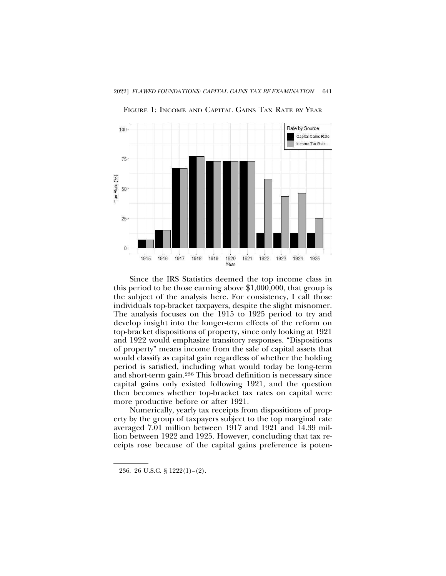

FIGURE 1: INCOME AND CAPITAL GAINS TAX RATE BY YEAR

Since the IRS Statistics deemed the top income class in this period to be those earning above \$1,000,000, that group is the subject of the analysis here. For consistency, I call those individuals top-bracket taxpayers, despite the slight misnomer. The analysis focuses on the 1915 to 1925 period to try and develop insight into the longer-term effects of the reform on top-bracket dispositions of property, since only looking at 1921 and 1922 would emphasize transitory responses. "Dispositions of property" means income from the sale of capital assets that would classify as capital gain regardless of whether the holding period is satisfied, including what would today be long-term and short-term gain.236 This broad definition is necessary since capital gains only existed following 1921, and the question then becomes whether top-bracket tax rates on capital were more productive before or after 1921.

Numerically, yearly tax receipts from dispositions of property by the group of taxpayers subject to the top marginal rate averaged 7.01 million between 1917 and 1921 and 14.39 million between 1922 and 1925. However, concluding that tax receipts rose because of the capital gains preference is poten-

<sup>236. 26</sup> U.S.C. § 1222(1)–(2).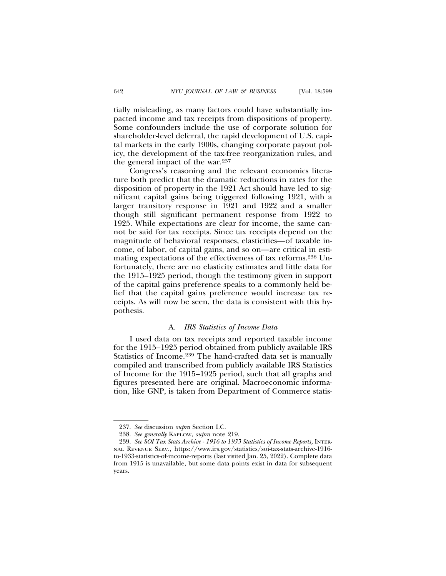tially misleading, as many factors could have substantially impacted income and tax receipts from dispositions of property. Some confounders include the use of corporate solution for shareholder-level deferral, the rapid development of U.S. capital markets in the early 1900s, changing corporate payout policy, the development of the tax-free reorganization rules, and the general impact of the war.237

Congress's reasoning and the relevant economics literature both predict that the dramatic reductions in rates for the disposition of property in the 1921 Act should have led to significant capital gains being triggered following 1921, with a larger transitory response in 1921 and 1922 and a smaller though still significant permanent response from 1922 to 1925. While expectations are clear for income, the same cannot be said for tax receipts. Since tax receipts depend on the magnitude of behavioral responses, elasticities—of taxable income, of labor, of capital gains, and so on—are critical in estimating expectations of the effectiveness of tax reforms.238 Unfortunately, there are no elasticity estimates and little data for the 1915–1925 period, though the testimony given in support of the capital gains preference speaks to a commonly held belief that the capital gains preference would increase tax receipts. As will now be seen, the data is consistent with this hypothesis.

## A. *IRS Statistics of Income Data*

I used data on tax receipts and reported taxable income for the 1915–1925 period obtained from publicly available IRS Statistics of Income.239 The hand-crafted data set is manually compiled and transcribed from publicly available IRS Statistics of Income for the 1915–1925 period, such that all graphs and figures presented here are original. Macroeconomic information, like GNP, is taken from Department of Commerce statis-

<sup>237.</sup> *See* discussion *supra* Section I.C.

<sup>238.</sup> *See generally* KAPLOW, *supra* note 219.

<sup>239.</sup> *See SOI Tax Stats Archive - 1916 to 1933 Statistics of Income Reports,* INTER-NAL REVENUE SERV., https://www.irs.gov/statistics/soi-tax-stats-archive-1916 to-1933-statistics-of-income-reports (last visited Jan. 25, 2022). Complete data from 1915 is unavailable, but some data points exist in data for subsequent years.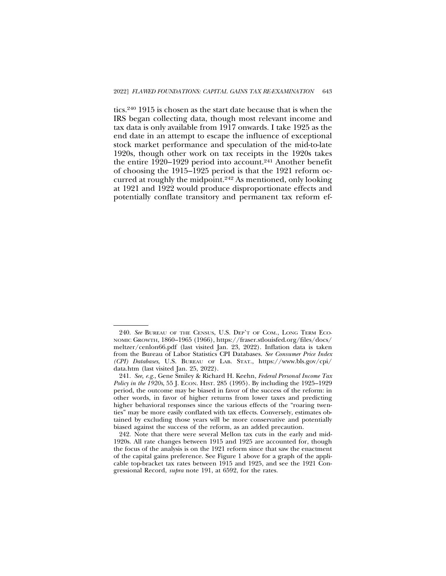tics.240 1915 is chosen as the start date because that is when the IRS began collecting data, though most relevant income and tax data is only available from 1917 onwards. I take 1925 as the end date in an attempt to escape the influence of exceptional stock market performance and speculation of the mid-to-late 1920s, though other work on tax receipts in the 1920s takes the entire 1920–1929 period into account.241 Another benefit of choosing the 1915–1925 period is that the 1921 reform occurred at roughly the midpoint.242 As mentioned, only looking at 1921 and 1922 would produce disproportionate effects and potentially conflate transitory and permanent tax reform ef-

<sup>240.</sup> *See* BUREAU OF THE CENSUS, U.S. DEP'T OF COM., LONG TERM ECO-NOMIC GROWTH, 1860–1965 (1966), https://fraser.stlouisfed.org/files/docs/ meltzer/cenlon66.pdf (last visited Jan. 23, 2022). Inflation data is taken from the Bureau of Labor Statistics CPI Databases. *See Consumer Price Index (CPI) Databases*, U.S. BUREAU OF LAB. STAT., https://www.bls.gov/cpi/ data.htm (last visited Jan. 25, 2022).

<sup>241.</sup> *See, e.g.*, Gene Smiley & Richard H. Keehn, *Federal Personal Income Tax Policy in the 1920s*, 55 J. ECON. HIST. 285 (1995). By including the 1925–1929 period, the outcome may be biased in favor of the success of the reform: in other words, in favor of higher returns from lower taxes and predicting higher behavioral responses since the various effects of the "roaring twenties" may be more easily conflated with tax effects. Conversely, estimates obtained by excluding those years will be more conservative and potentially biased against the success of the reform, as an added precaution.

<sup>242.</sup> Note that there were several Mellon tax cuts in the early and mid-1920s. All rate changes between 1915 and 1925 are accounted for, though the focus of the analysis is on the 1921 reform since that saw the enactment of the capital gains preference. See Figure 1 above for a graph of the applicable top-bracket tax rates between 1915 and 1925, and see the 1921 Congressional Record, *supra* note 191, at 6592, for the rates.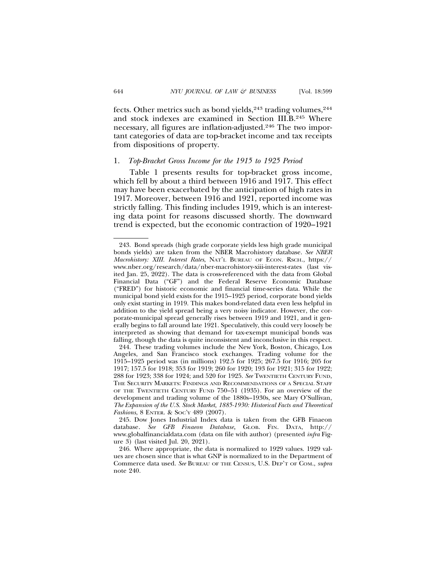fects. Other metrics such as bond yields,<sup>243</sup> trading volumes,<sup>244</sup> and stock indexes are examined in Section III.B.245 Where necessary, all figures are inflation-adjusted.246 The two important categories of data are top-bracket income and tax receipts from dispositions of property.

## 1. *Top-Bracket Gross Income for the 1915 to 1925 Period*

Table 1 presents results for top-bracket gross income, which fell by about a third between 1916 and 1917. This effect may have been exacerbated by the anticipation of high rates in 1917. Moreover, between 1916 and 1921, reported income was strictly falling. This finding includes 1919, which is an interesting data point for reasons discussed shortly. The downward trend is expected, but the economic contraction of 1920–1921

<sup>243.</sup> Bond spreads (high grade corporate yields less high grade municipal bonds yields) are taken from the NBER Macrohistory database. *See NBER Macrohistory: XIII. Interest Rates*, NAT'L BUREAU OF ECON. RSCH., https:// www.nber.org/research/data/nber-macrohistory-xiii-interest-rates (last visited Jan. 25, 2022). The data is cross-referenced with the data from Global Financial Data ("GF") and the Federal Reserve Economic Database ("FRED") for historic economic and financial time-series data. While the municipal bond yield exists for the 1915–1925 period, corporate bond yields only exist starting in 1919. This makes bond-related data even less helpful in addition to the yield spread being a very noisy indicator. However, the corporate-municipal spread generally rises between 1919 and 1921, and it generally begins to fall around late 1921. Speculatively, this could very loosely be interpreted as showing that demand for tax-exempt municipal bonds was falling, though the data is quite inconsistent and inconclusive in this respect.

<sup>244.</sup> These trading volumes include the New York, Boston, Chicago, Los Angeles, and San Francisco stock exchanges. Trading volume for the 1915–1925 period was (in millions) 192.5 for 1925; 267.5 for 1916; 205 for 1917; 157.5 for 1918; 353 for 1919; 260 for 1920; 193 for 1921; 315 for 1922; 288 for 1923; 338 for 1924; and 520 for 1925. *See* TWENTIETH CENTURY FUND, THE SECURITY MARKETS: FINDINGS AND RECOMMENDATIONS OF A SPECIAL STAFF OF THE TWENTIETH CENTURY FUND 750–51 (1935). For an overview of the development and trading volume of the 1880s–1930s, see Mary O'Sullivan, *The Expansion of the U.S. Stock Market, 1885-1930: Historical Facts and Theoretical Fashions*, 8 ENTER. & SOC'Y 489 (2007).

<sup>245.</sup> Dow Jones Industrial Index data is taken from the GFB Finaeon database. *See GFB Finaeon Database*, GLOB. FIN. DATA, http:// www.globalfinancialdata.com (data on file with author) (presented *infra* Figure 3) (last visited Jul. 20, 2021).

<sup>246.</sup> Where appropriate, the data is normalized to 1929 values. 1929 values are chosen since that is what GNP is normalized to in the Department of Commerce data used. *See* BUREAU OF THE CENSUS, U.S. DEP'T OF COM., *supra* note 240.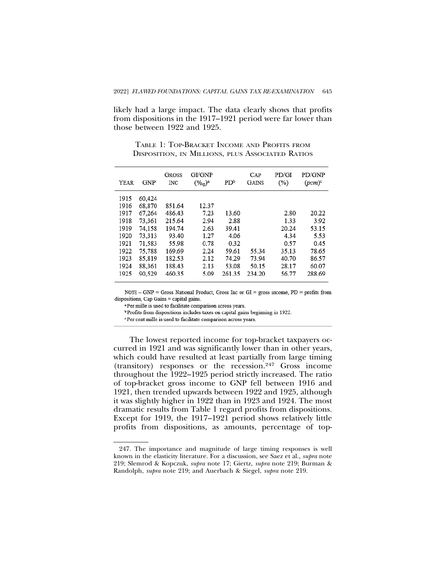likely had a large impact. The data clearly shows that profits from dispositions in the 1917–1921 period were far lower than those between 1922 and 1925.

TABLE 1: TOP-BRACKET INCOME AND PROFITS FROM DISPOSITION, IN MILLIONS, PLUS ASSOCIATED RATIOS

| YEAR | GNP    | <b>GROSS</b><br><b>INC</b> | GI/GNP<br>$(\%_0)^a$ | PD <sup>b</sup> | $_{\rm CAP}$<br><b>GAINS</b> | PD/GI<br>$(\%)$ | PD/GNP<br>$(pcm)^c$ |
|------|--------|----------------------------|----------------------|-----------------|------------------------------|-----------------|---------------------|
| 1915 | 60.424 |                            |                      |                 |                              |                 |                     |
| 1916 | 68,870 | 851.64                     | 12.37                |                 |                              |                 |                     |
| 1917 | 67.264 | 486.43                     | 7.23                 | 13.60           |                              | 2.80            | 20.22               |
| 1918 | 73.361 | 215.64                     | 2.94                 | 2.88            |                              | 1.33            | 3.92                |
| 1919 | 74.158 | 194.74                     | 2.63                 | 39.41           |                              | 20.24           | 53.15               |
| 1920 | 73.313 | 93.40                      | 1.27                 | 4.06            |                              | 4.34            | 5.53                |
| 1921 | 71.583 | 55.98                      | 0.78                 | 0.32            |                              | 0.57            | 0.45                |
| 1922 | 75.788 | 169.69                     | 2.24                 | 59.61           | 55.34                        | 35.13           | 78.65               |
| 1923 | 85.819 | 182.53                     | 2.12                 | 74.29           | 73.94                        | 40.70           | 86.57               |
| 1924 | 88.361 | 188.43                     | 2.13                 | 53.08           | 50.15                        | 28.17           | 60.07               |
| 1925 | 90.529 | 460.35                     | 5.09                 | 261.35          | 234.20                       | 56.77           | 288.69              |

NOTE - GNP = Gross National Product, Gross Inc or GI = gross income,  $PD =$  profits from dispositions, Cap Gains = capital gains.

<sup>a</sup>Per mille is used to facilitate comparison across years.

<sup>b</sup> Profits from dispositions includes taxes on capital gains beginning in 1922.

Per cent mille is used to facilitate comparison across years.

The lowest reported income for top-bracket taxpayers occurred in 1921 and was significantly lower than in other years, which could have resulted at least partially from large timing (transitory) responses or the recession.247 Gross income throughout the 1922–1925 period strictly increased. The ratio of top-bracket gross income to GNP fell between 1916 and 1921, then trended upwards between 1922 and 1925, although it was slightly higher in 1922 than in 1923 and 1924. The most dramatic results from Table 1 regard profits from dispositions. Except for 1919, the 1917–1921 period shows relatively little profits from dispositions, as amounts, percentage of top-

<sup>247.</sup> The importance and magnitude of large timing responses is well known in the elasticity literature. For a discussion, see Saez et al., *supra* note 219; Slemrod & Kopczuk, *supra* note 17; Giertz, *supra* note 219; Burman & Randolph, *supra* note 219; and Auerbach & Siegel, *supra* note 219.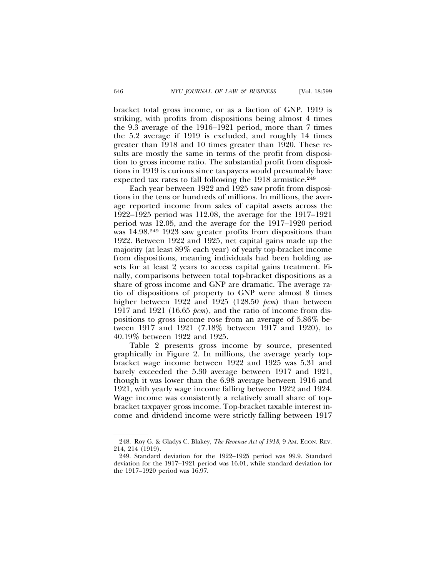bracket total gross income, or as a faction of GNP. 1919 is striking, with profits from dispositions being almost 4 times the 9.3 average of the 1916–1921 period, more than 7 times the 5.2 average if 1919 is excluded, and roughly 14 times greater than 1918 and 10 times greater than 1920. These results are mostly the same in terms of the profit from disposition to gross income ratio. The substantial profit from dispositions in 1919 is curious since taxpayers would presumably have expected tax rates to fall following the 1918 armistice.<sup>248</sup>

Each year between 1922 and 1925 saw profit from dispositions in the tens or hundreds of millions. In millions, the average reported income from sales of capital assets across the 1922–1925 period was 112.08, the average for the 1917–1921 period was 12.05, and the average for the 1917–1920 period was 14.98.<sup>249</sup> 1923 saw greater profits from dispositions than 1922. Between 1922 and 1925, net capital gains made up the majority (at least 89% each year) of yearly top-bracket income from dispositions, meaning individuals had been holding assets for at least 2 years to access capital gains treatment. Finally, comparisons between total top-bracket dispositions as a share of gross income and GNP are dramatic. The average ratio of dispositions of property to GNP were almost 8 times higher between 1922 and 1925 (128.50 *pcm*) than between 1917 and 1921 (16.65 *pcm*), and the ratio of income from dispositions to gross income rose from an average of 5.86% between 1917 and 1921 (7.18% between 1917 and 1920), to 40.19% between 1922 and 1925.

Table 2 presents gross income by source, presented graphically in Figure 2. In millions, the average yearly topbracket wage income between 1922 and 1925 was 5.31 and barely exceeded the 5.30 average between 1917 and 1921, though it was lower than the 6.98 average between 1916 and 1921, with yearly wage income falling between 1922 and 1924. Wage income was consistently a relatively small share of topbracket taxpayer gross income. Top-bracket taxable interest income and dividend income were strictly falling between 1917

<sup>248.</sup> Roy G. & Gladys C. Blakey, *The Revenue Act of 1918*, 9 AM. ECON. REV. 214, 214 (1919).

<sup>249.</sup> Standard deviation for the 1922–1925 period was 99.9. Standard deviation for the 1917–1921 period was 16.01, while standard deviation for the 1917–1920 period was 16.97.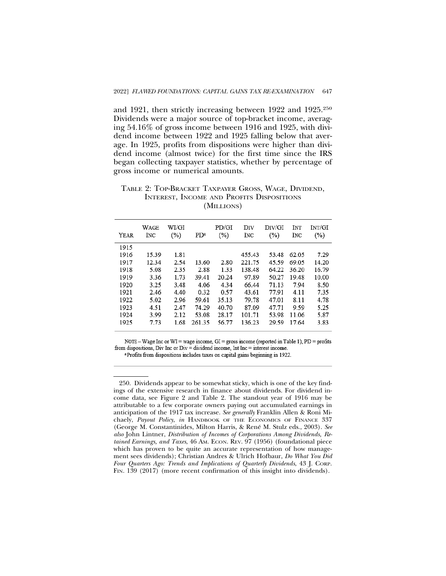and 1921, then strictly increasing between 1922 and 1925.250 Dividends were a major source of top-bracket income, averaging 54.16% of gross income between 1916 and 1925, with dividend income between 1922 and 1925 falling below that average. In 1925, profits from dispositions were higher than dividend income (almost twice) for the first time since the IRS began collecting taxpayer statistics, whether by percentage of gross income or numerical amounts.

TABLE 2: TOP-BRACKET TAXPAYER GROSS, WAGE, DIVIDEND, INTEREST, INCOME AND PROFITS DISPOSITIONS (MILLIONS)

| YEAR | WAGE<br>INC | WI/GI<br>$(\%)$ | PD <sup>a</sup> | PD/GI<br>$(\%)$ | DIV<br>INC | DIV/GI<br>$(\%)$ | INT<br>INC | INT/GI<br>$(\%)$ |
|------|-------------|-----------------|-----------------|-----------------|------------|------------------|------------|------------------|
| 1915 |             |                 |                 |                 |            |                  |            |                  |
| 1916 | 15.39       | 1.81            |                 |                 | 455.43     | 53.48            | 62.05      | 7.29             |
| 1917 | 12.34       | 2.54            | 13.60           | 2.80            | 221.75     | 45.59            | 69.05      | 14.20            |
| 1918 | 5.08        | 2.35            | 2.88            | 1.33            | 138.48     | 64.22            | 36.20      | 16.79            |
| 1919 | 3.36        | 1.73            | 39.41           | 20.24           | 97.89      | 50.27            | 19.48      | 10.00            |
| 1920 | 3.25        | 3.48            | 4.06            | 4.34            | 66.44      | 71.13            | 7.94       | 8.50             |
| 1921 | 2.46        | 4.40            | 0.32            | 0.57            | 43.61      | 77.91            | 4.11       | 7.35             |
| 1922 | 5.02        | 2.96            | 59.61           | 35.13           | 79.78      | 47.01            | 8.11       | 4.78             |
| 1923 | 4.51        | 2.47            | 74.29           | 40.70           | 87.09      | 47.71            | 9.59       | 5.25             |
| 1924 | 3.99        | 2.12            | 53.08           | 28.17           | 101.71     | 53.98            | 11.06      | 5.87             |
| 1925 | 7.73        | 1.68            | 261.35          | 56.77           | 136.23     | 29.59            | 17.64      | 3.83             |

NOTE - Wage Inc or WI = wage income, GI = gross income (reported in Table 1), PD = profits from dispositions, Div Inc or  $Div =$  dividend income, Int Inc = interest income.

<sup>&</sup>lt;sup>a</sup>Profits from dispositions includes taxes on capital gains beginning in 1922.

<sup>250.</sup> Dividends appear to be somewhat sticky, which is one of the key findings of the extensive research in finance about dividends. For dividend income data, see Figure 2 and Table 2. The standout year of 1916 may be attributable to a few corporate owners paying out accumulated earnings in anticipation of the 1917 tax increase. *See generally* Franklin Allen & Roni Michaely, *Payout Policy*, *in* HANDBOOK OF THE ECONOMICS OF FINANCE 337 (George M. Constantinides, Milton Harris, & Rene M. Stulz eds., 2003). ´ *See also* John Lintner, *Distribution of Incomes of Corporations Among Dividends, Retained Earnings, and Taxes*, 46 AM. ECON. REV. 97 (1956) (foundational piece which has proven to be quite an accurate representation of how management sees dividends); Christian Andres & Ulrich Hofbaur, *Do What You Did Four Quarters Ago: Trends and Implications of Quarterly Dividends*, 43 J. CORP. FIN. 139 (2017) (more recent confirmation of this insight into dividends).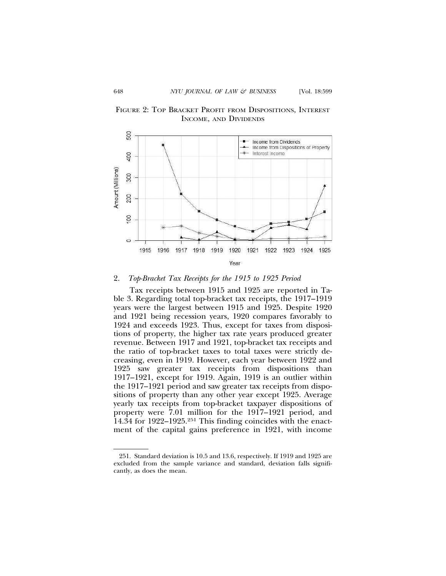



## 2. *Top-Bracket Tax Receipts for the 1915 to 1925 Period*

Tax receipts between 1915 and 1925 are reported in Table 3. Regarding total top-bracket tax receipts, the 1917–1919 years were the largest between 1915 and 1925. Despite 1920 and 1921 being recession years, 1920 compares favorably to 1924 and exceeds 1923. Thus, except for taxes from dispositions of property, the higher tax rate years produced greater revenue. Between 1917 and 1921, top-bracket tax receipts and the ratio of top-bracket taxes to total taxes were strictly decreasing, even in 1919. However, each year between 1922 and 1925 saw greater tax receipts from dispositions than 1917–1921, except for 1919. Again, 1919 is an outlier within the 1917–1921 period and saw greater tax receipts from dispositions of property than any other year except 1925. Average yearly tax receipts from top-bracket taxpayer dispositions of property were 7.01 million for the 1917–1921 period, and 14.34 for 1922–1925.251 This finding coincides with the enactment of the capital gains preference in 1921, with income

<sup>251.</sup> Standard deviation is 10.5 and 13.6, respectively. If 1919 and 1925 are excluded from the sample variance and standard, deviation falls significantly, as does the mean.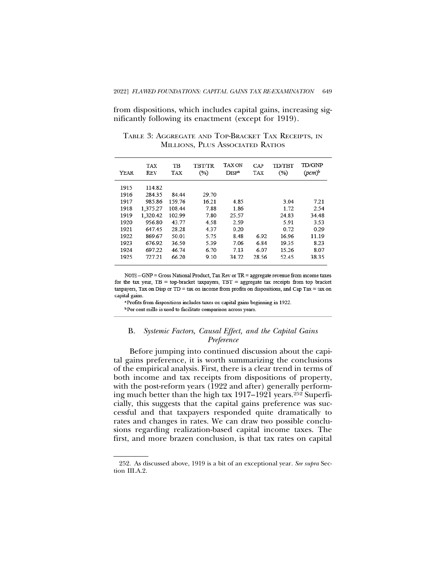from dispositions, which includes capital gains, increasing significantly following its enactment (except for 1919).

| <b>YEAR</b> | TAX<br>REV | TВ<br>TAX | TBT/TR<br>(%) | <b>TAX ON</b><br>DISP <sup>a</sup> | CAP<br>TAX | TD/TBT<br>(%) | <b>TD/GNP</b><br>$(pcm)^b$ |
|-------------|------------|-----------|---------------|------------------------------------|------------|---------------|----------------------------|
| 1915        | 114.82     |           |               |                                    |            |               |                            |
| 1916        | 284.35     | 84.44     | 29.70         |                                    |            |               |                            |
| 1917        | 985.86     | 15976     | 16.21         | 4.85                               |            | 3.04          | 7.21                       |
| 1918        | 1.375.27   | 108.44    | 7.88          | 1.86                               |            | 1.72          | 2.54                       |
| 1919        | 1.320.42   | 102.99    | 7.80          | 25.57                              |            | 24.83         | 34.48                      |
| 1920        | 956.80     | 43.77     | 4.58          | 2.59                               |            | 5.91          | 3.53                       |
| 1921        | 647.45     | 28.28     | 4.37          | 0.20                               |            | 0.72          | 0.29                       |
| 1922        | 869 67     | 50.01     | 575           | 8.48                               | 6.92       | 16.96         | 11.19                      |
| 1923        | 676.92     | 36.50     | 5.39          | 7.06                               | 6.84       | 19.35         | 8.23                       |
| 1924        | 697.22     | 46.74     | 6.70          | 7.13                               | 6.07       | 15.26         | 8.07                       |
| 1925        | 727 21     | 66.20     | 9.10          | 34.72                              | 28.56      | 52.45         | 38.35                      |

TABLE 3: AGGREGATE AND TOP-BRACKET TAX RECEIPTS, IN MILLIONS, PLUS ASSOCIATED RATIOS

 $\texttt{NOTE} - \texttt{GNP} = \texttt{Gross National Product}, \texttt{Tax Rev or TR} = \texttt{aggregate revenue from income taxes}$ for the tax year,  $TB = top-bracket$  taxpayers,  $TBT = aggregate$  tax receipts from top bracket taxpayers, Tax on Disp or  $TD = \text{tax on income from profits on dispositions, and Cap Tax} = \text{tax on}$ capital gains.

<sup>a</sup>Profits from dispositions includes taxes on capital gains beginning in 1922. <sup>b</sup> Per cent mille is used to facilitate comparison across years.

# B. *Systemic Factors, Causal Effect, and the Capital Gains Preference*

Before jumping into continued discussion about the capital gains preference, it is worth summarizing the conclusions of the empirical analysis. First, there is a clear trend in terms of both income and tax receipts from dispositions of property, with the post-reform years (1922 and after) generally performing much better than the high tax 1917–1921 years.252 Superficially, this suggests that the capital gains preference was successful and that taxpayers responded quite dramatically to rates and changes in rates. We can draw two possible conclusions regarding realization-based capital income taxes. The first, and more brazen conclusion, is that tax rates on capital

<sup>252.</sup> As discussed above, 1919 is a bit of an exceptional year. *See supra* Section III.A.2.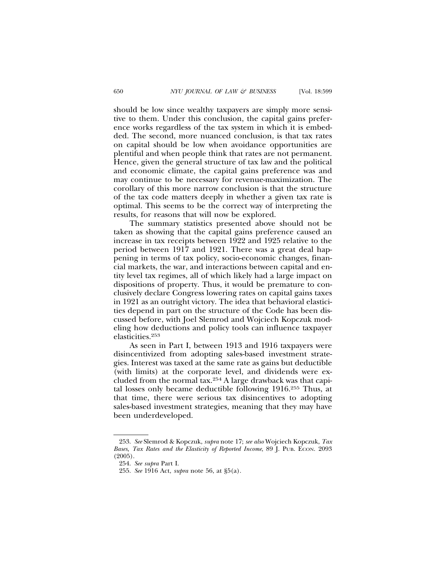should be low since wealthy taxpayers are simply more sensitive to them. Under this conclusion, the capital gains preference works regardless of the tax system in which it is embedded. The second, more nuanced conclusion, is that tax rates on capital should be low when avoidance opportunities are plentiful and when people think that rates are not permanent. Hence, given the general structure of tax law and the political and economic climate, the capital gains preference was and may continue to be necessary for revenue-maximization. The corollary of this more narrow conclusion is that the structure of the tax code matters deeply in whether a given tax rate is optimal. This seems to be the correct way of interpreting the results, for reasons that will now be explored.

The summary statistics presented above should not be taken as showing that the capital gains preference caused an increase in tax receipts between 1922 and 1925 relative to the period between 1917 and 1921. There was a great deal happening in terms of tax policy, socio-economic changes, financial markets, the war, and interactions between capital and entity level tax regimes, all of which likely had a large impact on dispositions of property. Thus, it would be premature to conclusively declare Congress lowering rates on capital gains taxes in 1921 as an outright victory. The idea that behavioral elasticities depend in part on the structure of the Code has been discussed before, with Joel Slemrod and Wojciech Kopczuk modeling how deductions and policy tools can influence taxpayer elasticities.253

As seen in Part I, between 1913 and 1916 taxpayers were disincentivized from adopting sales-based investment strategies. Interest was taxed at the same rate as gains but deductible (with limits) at the corporate level, and dividends were excluded from the normal tax.254 A large drawback was that capital losses only became deductible following 1916.255 Thus, at that time, there were serious tax disincentives to adopting sales-based investment strategies, meaning that they may have been underdeveloped.

<sup>253.</sup> *See* Slemrod & Kopczuk, *supra* note 17; *see also* Wojciech Kopczuk, *Tax Bases, Tax Rates and the Elasticity of Reported Income*, 89 J. PUB. ECON. 2093 (2005).

<sup>254.</sup> *See supra* Part I.

<sup>255.</sup> *See* 1916 Act, *supra* note 56, at §5(a).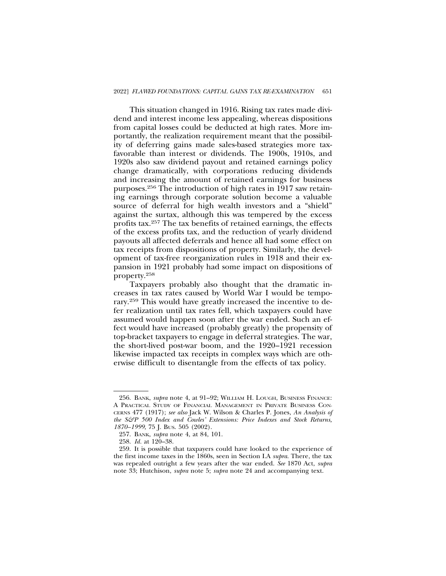This situation changed in 1916. Rising tax rates made dividend and interest income less appealing, whereas dispositions from capital losses could be deducted at high rates. More importantly, the realization requirement meant that the possibility of deferring gains made sales-based strategies more taxfavorable than interest or dividends. The 1900s, 1910s, and 1920s also saw dividend payout and retained earnings policy change dramatically, with corporations reducing dividends and increasing the amount of retained earnings for business purposes.256 The introduction of high rates in 1917 saw retaining earnings through corporate solution become a valuable source of deferral for high wealth investors and a "shield" against the surtax, although this was tempered by the excess profits tax.257 The tax benefits of retained earnings, the effects of the excess profits tax, and the reduction of yearly dividend payouts all affected deferrals and hence all had some effect on tax receipts from dispositions of property. Similarly, the development of tax-free reorganization rules in 1918 and their expansion in 1921 probably had some impact on dispositions of property.258

Taxpayers probably also thought that the dramatic increases in tax rates caused by World War I would be temporary.259 This would have greatly increased the incentive to defer realization until tax rates fell, which taxpayers could have assumed would happen soon after the war ended. Such an effect would have increased (probably greatly) the propensity of top-bracket taxpayers to engage in deferral strategies. The war, the short-lived post-war boom, and the 1920–1921 recession likewise impacted tax receipts in complex ways which are otherwise difficult to disentangle from the effects of tax policy.

<sup>256.</sup> BANK, *supra* note 4, at 91–92; WILLIAM H. LOUGH, BUSINESS FINANCE: A PRACTICAL STUDY OF FINANCIAL MANAGEMENT IN PRIVATE BUSINESS CON-CERNS 477 (1917); *see also* Jack W. Wilson & Charles P. Jones, *An Analysis of the S&P 500 Index and Cowles' Extensions: Price Indexes and Stock Returns, 1870–1999*, 75 J. BUS. 505 (2002).

<sup>257.</sup> BANK, *supra* note 4, at 84, 101.

<sup>258.</sup> *Id.* at 120–38.

<sup>259.</sup> It is possible that taxpayers could have looked to the experience of the first income taxes in the 1860s, seen in Section I.A *supra*. There, the tax was repealed outright a few years after the war ended. *See* 1870 Act, *supra* note 33; Hutchison, *supra* note 5; *supra* note 24 and accompanying text.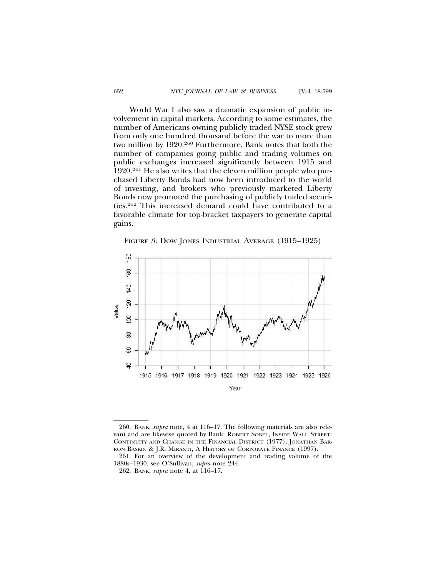World War I also saw a dramatic expansion of public involvement in capital markets. According to some estimates, the number of Americans owning publicly traded NYSE stock grew from only one hundred thousand before the war to more than two million by 1920.260 Furthermore, Bank notes that both the number of companies going public and trading volumes on public exchanges increased significantly between 1915 and 1920.261 He also writes that the eleven million people who purchased Liberty Bonds had now been introduced to the world of investing, and brokers who previously marketed Liberty Bonds now promoted the purchasing of publicly traded securities.262 This increased demand could have contributed to a favorable climate for top-bracket taxpayers to generate capital gains.





<sup>260.</sup> BANK, *supra* note, 4 at 116–17. The following materials are also relevant and are likewise quoted by Bank: ROBERT SOBEL, INSIDE WALL STREET: CONTINUITY AND CHANGE IN THE FINANCIAL DISTRICT (1977); JONATHAN BAR-RON BASKIN & J.R. MIRANTI, A HISTORY OF CORPORATE FINANCE (1997).

<sup>261.</sup> For an overview of the development and trading volume of the 1880s–1930, see O'Sullivan, *supra* note 244.

<sup>262.</sup> BANK, *supra* note 4, at 116–17.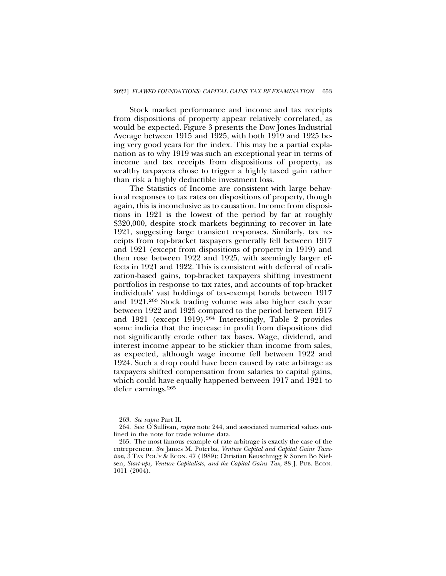Stock market performance and income and tax receipts from dispositions of property appear relatively correlated, as would be expected. Figure 3 presents the Dow Jones Industrial Average between 1915 and 1925, with both 1919 and 1925 being very good years for the index. This may be a partial explanation as to why 1919 was such an exceptional year in terms of income and tax receipts from dispositions of property, as wealthy taxpayers chose to trigger a highly taxed gain rather than risk a highly deductible investment loss.

The Statistics of Income are consistent with large behavioral responses to tax rates on dispositions of property, though again, this is inconclusive as to causation. Income from dispositions in 1921 is the lowest of the period by far at roughly \$320,000, despite stock markets beginning to recover in late 1921, suggesting large transient responses. Similarly, tax receipts from top-bracket taxpayers generally fell between 1917 and 1921 (except from dispositions of property in 1919) and then rose between 1922 and 1925, with seemingly larger effects in 1921 and 1922. This is consistent with deferral of realization-based gains, top-bracket taxpayers shifting investment portfolios in response to tax rates, and accounts of top-bracket individuals' vast holdings of tax-exempt bonds between 1917 and 1921.263 Stock trading volume was also higher each year between 1922 and 1925 compared to the period between 1917 and 1921 (except 1919).264 Interestingly, Table 2 provides some indicia that the increase in profit from dispositions did not significantly erode other tax bases. Wage, dividend, and interest income appear to be stickier than income from sales, as expected, although wage income fell between 1922 and 1924. Such a drop could have been caused by rate arbitrage as taxpayers shifted compensation from salaries to capital gains, which could have equally happened between 1917 and 1921 to defer earnings.265

<sup>263.</sup> *See supra* Part II.

<sup>264.</sup> See O'Sullivan, *supra* note 244, and associated numerical values outlined in the note for trade volume data.

<sup>265.</sup> The most famous example of rate arbitrage is exactly the case of the entrepreneur. *See* James M. Poterba, *Venture Capital and Capital Gains Taxa*tion, 3 TAX POL'Y & ECON. 47 (1989); Christian Keuschnigg & Soren Bo Nielsen, *Start-ups, Venture Capitalists, and the Capital Gains Tax*, 88 J. PUB. ECON. 1011 (2004).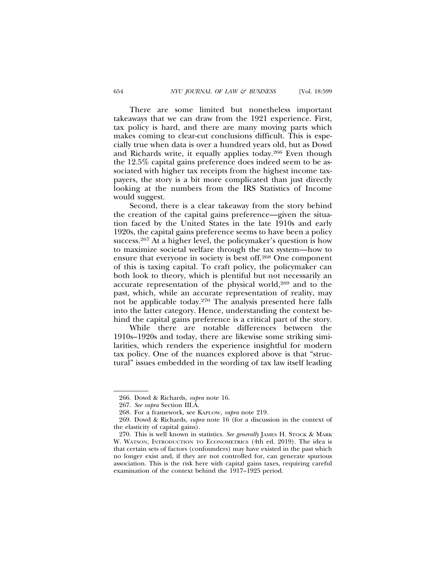There are some limited but nonetheless important takeaways that we can draw from the 1921 experience. First, tax policy is hard, and there are many moving parts which makes coming to clear-cut conclusions difficult. This is especially true when data is over a hundred years old, but as Dowd and Richards write, it equally applies today.266 Even though the 12.5% capital gains preference does indeed seem to be associated with higher tax receipts from the highest income taxpayers, the story is a bit more complicated than just directly looking at the numbers from the IRS Statistics of Income would suggest.

Second, there is a clear takeaway from the story behind the creation of the capital gains preference—given the situation faced by the United States in the late 1910s and early 1920s, the capital gains preference seems to have been a policy success.267 At a higher level, the policymaker's question is how to maximize societal welfare through the tax system—how to ensure that everyone in society is best off.268 One component of this is taxing capital. To craft policy, the policymaker can both look to theory, which is plentiful but not necessarily an accurate representation of the physical world,<sup>269</sup> and to the past, which, while an accurate representation of reality, may not be applicable today.270 The analysis presented here falls into the latter category. Hence, understanding the context behind the capital gains preference is a critical part of the story.

While there are notable differences between the 1910s–1920s and today, there are likewise some striking similarities, which renders the experience insightful for modern tax policy. One of the nuances explored above is that "structural" issues embedded in the wording of tax law itself leading

<sup>266.</sup> Dowd & Richards, *supra* note 16.

<sup>267.</sup> *See supra* Section III.A.

<sup>268.</sup> For a framework, see KAPLOW, *supra* note 219.

<sup>269.</sup> Dowd & Richards, *supra* note 16 (for a discussion in the context of the elasticity of capital gains).

<sup>270.</sup> This is well known in statistics. *See generally* JAMES H. STOCK & MARK W. WATSON, INTRODUCTION TO ECONOMETRICS (4th ed. 2019). The idea is that certain sets of factors (confounders) may have existed in the past which no longer exist and, if they are not controlled for, can generate spurious association. This is the risk here with capital gains taxes, requiring careful examination of the context behind the 1917–1925 period.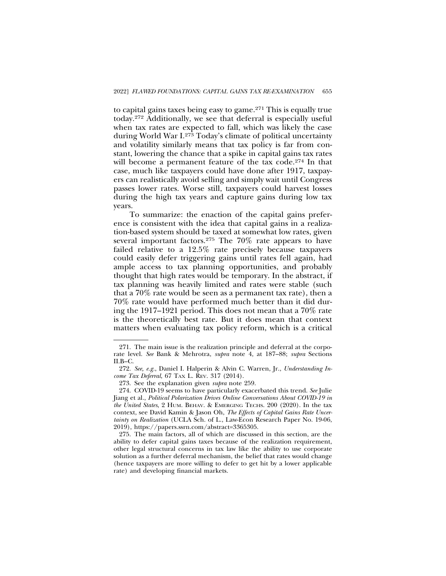to capital gains taxes being easy to game.271 This is equally true today.272 Additionally, we see that deferral is especially useful when tax rates are expected to fall, which was likely the case during World War I.273 Today's climate of political uncertainty and volatility similarly means that tax policy is far from constant, lowering the chance that a spike in capital gains tax rates will become a permanent feature of the tax code.<sup>274</sup> In that case, much like taxpayers could have done after 1917, taxpayers can realistically avoid selling and simply wait until Congress passes lower rates. Worse still, taxpayers could harvest losses during the high tax years and capture gains during low tax years.

To summarize: the enaction of the capital gains preference is consistent with the idea that capital gains in a realization-based system should be taxed at somewhat low rates, given several important factors.275 The 70% rate appears to have failed relative to a 12.5% rate precisely because taxpayers could easily defer triggering gains until rates fell again, had ample access to tax planning opportunities, and probably thought that high rates would be temporary. In the abstract, if tax planning was heavily limited and rates were stable (such that a 70% rate would be seen as a permanent tax rate), then a 70% rate would have performed much better than it did during the 1917–1921 period. This does not mean that a 70% rate is the theoretically best rate. But it does mean that context matters when evaluating tax policy reform, which is a critical

<sup>271.</sup> The main issue is the realization principle and deferral at the corporate level. *See* Bank & Mehrotra, *supra* note 4, at 187–88; *supra* Sections II.B–C.

<sup>272.</sup> *See, e.g.*, Daniel I. Halperin & Alvin C. Warren, Jr., *Understanding Income Tax Deferral*, 67 TAX L. REV. 317 (2014).

<sup>273.</sup> See the explanation given *supra* note 259.

<sup>274.</sup> COVID-19 seems to have particularly exacerbated this trend. *See* Julie Jiang et al., *Political Polarization Drives Online Conversations About COVID-19 in the United States*, 2 HUM. BEHAV. & EMERGING TECHS. 200 (2020). In the tax context, see David Kamin & Jason Oh, *The Effects of Capital Gains Rate Uncertainty on Realization* (UCLA Sch. of L., Law-Econ Research Paper No. 19-06, 2019), https://papers.ssrn.com/abstract=3365305.

<sup>275.</sup> The main factors, all of which are discussed in this section, are the ability to defer capital gains taxes because of the realization requirement, other legal structural concerns in tax law like the ability to use corporate solution as a further deferral mechanism, the belief that rates would change (hence taxpayers are more willing to defer to get hit by a lower applicable rate) and developing financial markets.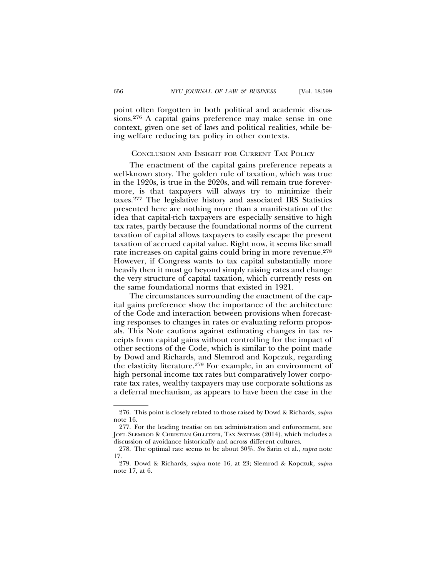point often forgotten in both political and academic discussions.276 A capital gains preference may make sense in one context, given one set of laws and political realities, while being welfare reducing tax policy in other contexts.

#### CONCLUSION AND INSIGHT FOR CURRENT TAX POLICY

The enactment of the capital gains preference repeats a well-known story. The golden rule of taxation, which was true in the 1920s, is true in the 2020s, and will remain true forevermore, is that taxpayers will always try to minimize their taxes.277 The legislative history and associated IRS Statistics presented here are nothing more than a manifestation of the idea that capital-rich taxpayers are especially sensitive to high tax rates, partly because the foundational norms of the current taxation of capital allows taxpayers to easily escape the present taxation of accrued capital value. Right now, it seems like small rate increases on capital gains could bring in more revenue.<sup>278</sup> However, if Congress wants to tax capital substantially more heavily then it must go beyond simply raising rates and change the very structure of capital taxation, which currently rests on the same foundational norms that existed in 1921.

The circumstances surrounding the enactment of the capital gains preference show the importance of the architecture of the Code and interaction between provisions when forecasting responses to changes in rates or evaluating reform proposals. This Note cautions against estimating changes in tax receipts from capital gains without controlling for the impact of other sections of the Code, which is similar to the point made by Dowd and Richards, and Slemrod and Kopczuk, regarding the elasticity literature.279 For example, in an environment of high personal income tax rates but comparatively lower corporate tax rates, wealthy taxpayers may use corporate solutions as a deferral mechanism, as appears to have been the case in the

<sup>276.</sup> This point is closely related to those raised by Dowd & Richards, *supra* note 16.

<sup>277.</sup> For the leading treatise on tax administration and enforcement, see JOEL SLEMROD & CHRISTIAN GILLITZER, TAX SYSTEMS (2014), which includes a discussion of avoidance historically and across different cultures.

<sup>278.</sup> The optimal rate seems to be about 30%. *See* Sarin et al., *supra* note 17.

<sup>279.</sup> Dowd & Richards, *supra* note 16, at 23; Slemrod & Kopczuk, *supra* note 17, at 6.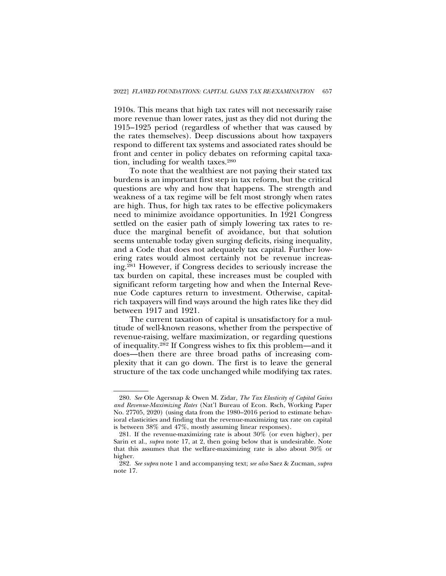1910s. This means that high tax rates will not necessarily raise more revenue than lower rates, just as they did not during the 1915–1925 period (regardless of whether that was caused by the rates themselves). Deep discussions about how taxpayers respond to different tax systems and associated rates should be front and center in policy debates on reforming capital taxation, including for wealth taxes.280

To note that the wealthiest are not paying their stated tax burdens is an important first step in tax reform, but the critical questions are why and how that happens. The strength and weakness of a tax regime will be felt most strongly when rates are high. Thus, for high tax rates to be effective policymakers need to minimize avoidance opportunities. In 1921 Congress settled on the easier path of simply lowering tax rates to reduce the marginal benefit of avoidance, but that solution seems untenable today given surging deficits, rising inequality, and a Code that does not adequately tax capital. Further lowering rates would almost certainly not be revenue increasing.281 However, if Congress decides to seriously increase the tax burden on capital, these increases must be coupled with significant reform targeting how and when the Internal Revenue Code captures return to investment. Otherwise, capitalrich taxpayers will find ways around the high rates like they did between 1917 and 1921.

The current taxation of capital is unsatisfactory for a multitude of well-known reasons, whether from the perspective of revenue-raising, welfare maximization, or regarding questions of inequality.282 If Congress wishes to fix this problem—and it does—then there are three broad paths of increasing complexity that it can go down. The first is to leave the general structure of the tax code unchanged while modifying tax rates.

<sup>280.</sup> *See* Ole Agersnap & Owen M. Zidar, *The Tax Elasticity of Capital Gains and Revenue-Maximizing Rates* (Nat'l Bureau of Econ. Rsch, Working Paper No. 27705, 2020) (using data from the 1980–2016 period to estimate behavioral elasticities and finding that the revenue-maximizing tax rate on capital is between 38% and 47%, mostly assuming linear responses).

<sup>281.</sup> If the revenue-maximizing rate is about 30% (or even higher), per Sarin et al., *supra* note 17, at 2, then going below that is undesirable. Note that this assumes that the welfare-maximizing rate is also about 30% or higher.

<sup>282.</sup> *See supra* note 1 and accompanying text; *see also* Saez & Zucman, *supra* note 17.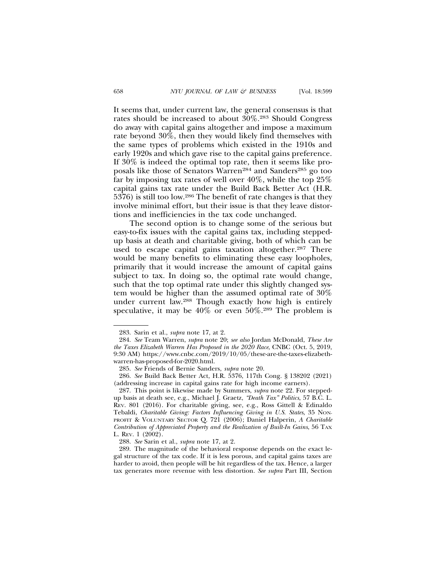It seems that, under current law, the general consensus is that rates should be increased to about 30%.283 Should Congress do away with capital gains altogether and impose a maximum rate beyond 30%, then they would likely find themselves with the same types of problems which existed in the 1910s and early 1920s and which gave rise to the capital gains preference. If 30% is indeed the optimal top rate, then it seems like proposals like those of Senators Warren<sup>284</sup> and Sanders<sup>285</sup> go too far by imposing tax rates of well over  $40\%$ , while the top  $25\%$ capital gains tax rate under the Build Back Better Act (H.R. 5376) is still too low.286 The benefit of rate changes is that they involve minimal effort, but their issue is that they leave distortions and inefficiencies in the tax code unchanged.

The second option is to change some of the serious but easy-to-fix issues with the capital gains tax, including steppedup basis at death and charitable giving, both of which can be used to escape capital gains taxation altogether.<sup>287</sup> There would be many benefits to eliminating these easy loopholes, primarily that it would increase the amount of capital gains subject to tax. In doing so, the optimal rate would change, such that the top optimal rate under this slightly changed system would be higher than the assumed optimal rate of 30% under current law.288 Though exactly how high is entirely speculative, it may be 40% or even 50%.289 The problem is

<sup>283.</sup> Sarin et al., *supra* note 17, at 2.

<sup>284.</sup> *See* Team Warren, *supra* note 20; *see also* Jordan McDonald, *These Are the Taxes Elizabeth Warren Has Proposed in the 2020 Race*, CNBC (Oct. 5, 2019, 9:30 AM) https://www.cnbc.com/2019/10/05/these-are-the-taxes-elizabethwarren-has-proposed-for-2020.html.

<sup>285.</sup> *See* Friends of Bernie Sanders, *supra* note 20.

<sup>286.</sup> *See* Build Back Better Act, H.R. 5376, 117th Cong. § 138202 (2021) (addressing increase in capital gains rate for high income earners).

<sup>287.</sup> This point is likewise made by Summers, *supra* note 22. For steppedup basis at death see, e.g., Michael J. Graetz, *"Death Tax" Politics*, 57 B.C. L. REV. 801 (2016). For charitable giving, see, e.g., Ross Gittell & Edinaldo Tebaldi, *Charitable Giving: Factors Influencing Giving in U.S. States*, 35 NON-PROFIT & VOLUNTARY SECTOR Q. 721 (2006); Daniel Halperin, *A Charitable Contribution of Appreciated Property and the Realization of Built-In Gains*, 56 TAX L. REV. 1 (2002).

<sup>288.</sup> *See* Sarin et al., *supra* note 17, at 2.

<sup>289.</sup> The magnitude of the behavioral response depends on the exact legal structure of the tax code. If it is less porous, and capital gains taxes are harder to avoid, then people will be hit regardless of the tax. Hence, a larger tax generates more revenue with less distortion. *See supra* Part III, Section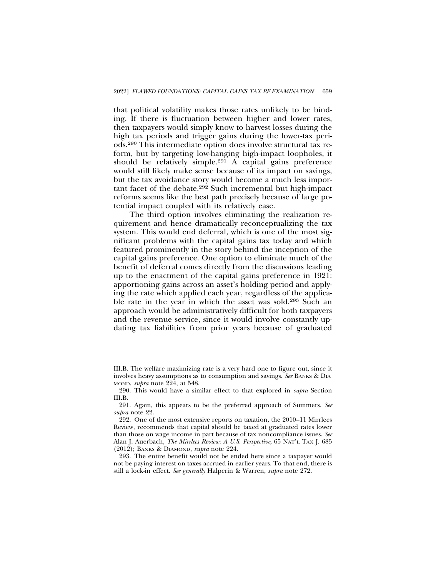that political volatility makes those rates unlikely to be binding. If there is fluctuation between higher and lower rates, then taxpayers would simply know to harvest losses during the high tax periods and trigger gains during the lower-tax periods.290 This intermediate option does involve structural tax reform, but by targeting low-hanging high-impact loopholes, it should be relatively simple.291 A capital gains preference would still likely make sense because of its impact on savings, but the tax avoidance story would become a much less important facet of the debate.292 Such incremental but high-impact reforms seems like the best path precisely because of large potential impact coupled with its relatively ease.

The third option involves eliminating the realization requirement and hence dramatically reconceptualizing the tax system. This would end deferral, which is one of the most significant problems with the capital gains tax today and which featured prominently in the story behind the inception of the capital gains preference. One option to eliminate much of the benefit of deferral comes directly from the discussions leading up to the enactment of the capital gains preference in 1921: apportioning gains across an asset's holding period and applying the rate which applied each year, regardless of the applicable rate in the year in which the asset was sold.293 Such an approach would be administratively difficult for both taxpayers and the revenue service, since it would involve constantly updating tax liabilities from prior years because of graduated

III.B. The welfare maximizing rate is a very hard one to figure out, since it involves heavy assumptions as to consumption and savings. *See* BANKS & DIA-MOND, *supra* note 224, at 548.

<sup>290.</sup> This would have a similar effect to that explored in *supra* Section III.B.

<sup>291.</sup> Again, this appears to be the preferred approach of Summers. *See supra* note 22.

<sup>292.</sup> One of the most extensive reports on taxation, the 2010–11 Mirrlees Review, recommends that capital should be taxed at graduated rates lower than those on wage income in part because of tax noncompliance issues. *See* Alan J. Auerbach, *The Mirrlees Review: A U.S. Perspective*, 65 NAT'L TAX J. 685 (2012); BANKS & DIAMOND, *supra* note 224.

<sup>293.</sup> The entire benefit would not be ended here since a taxpayer would not be paying interest on taxes accrued in earlier years. To that end, there is still a lock-in effect. *See generally* Halperin & Warren, *supra* note 272.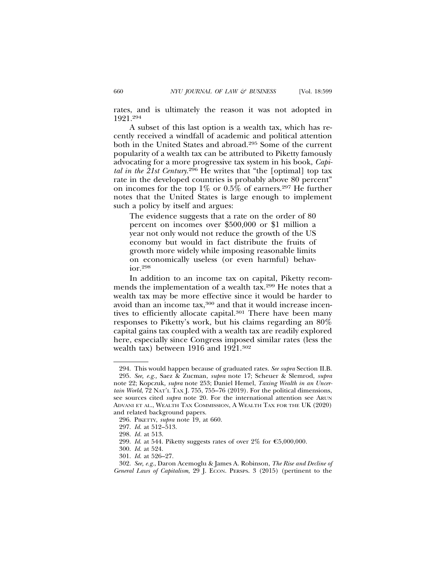rates, and is ultimately the reason it was not adopted in 1921.294

A subset of this last option is a wealth tax, which has recently received a windfall of academic and political attention both in the United States and abroad.295 Some of the current popularity of a wealth tax can be attributed to Piketty famously advocating for a more progressive tax system in his book, *Capital in the 21st Century*. 296 He writes that "the [optimal] top tax rate in the developed countries is probably above 80 percent" on incomes for the top  $1\%$  or  $0.5\%$  of earners.<sup>297</sup> He further notes that the United States is large enough to implement such a policy by itself and argues:

The evidence suggests that a rate on the order of 80 percent on incomes over \$500,000 or \$1 million a year not only would not reduce the growth of the US economy but would in fact distribute the fruits of growth more widely while imposing reasonable limits on economically useless (or even harmful) behavior.298

In addition to an income tax on capital, Piketty recommends the implementation of a wealth tax.299 He notes that a wealth tax may be more effective since it would be harder to avoid than an income tax,<sup>300</sup> and that it would increase incentives to efficiently allocate capital.<sup>301</sup> There have been many responses to Piketty's work, but his claims regarding an 80% capital gains tax coupled with a wealth tax are readily explored here, especially since Congress imposed similar rates (less the wealth tax) between 1916 and 1921.<sup>302</sup>

<sup>294.</sup> This would happen because of graduated rates. *See supra* Section II.B. 295. *See, e.g.,* Saez & Zucman, *supra* note 17; Scheuer & Slemrod, *supra* note 22; Kopczuk*, supra* note 253; Daniel Hemel, *Taxing Wealth in an Uncertain World*, 72 NAT'L TAX J. 755, 755–76 (2019). For the political dimensions, see sources cited *supra* note 20. For the international attention see ARUN ADVANI ET AL., WEALTH TAX COMMISSION, A WEALTH TAX FOR THE UK (2020) and related background papers.

<sup>296.</sup> PIKETTY, *supra* note 19, at 660.

<sup>297.</sup> *Id*. at 512–513.

<sup>298.</sup> *Id.* at 513.

<sup>299.</sup> *Id.* at 544. Piketty suggests rates of over  $2\%$  for  $\epsilon$  5,000,000.

<sup>300.</sup> *Id*. at 524.

<sup>301.</sup> *Id*. at 526–27.

<sup>302.</sup> *See, e.g.*, Daron Acemoglu & James A. Robinson, *The Rise and Decline of General Laws of Capitalism*, 29 J. ECON. PERSPS. 3 (2015) (pertinent to the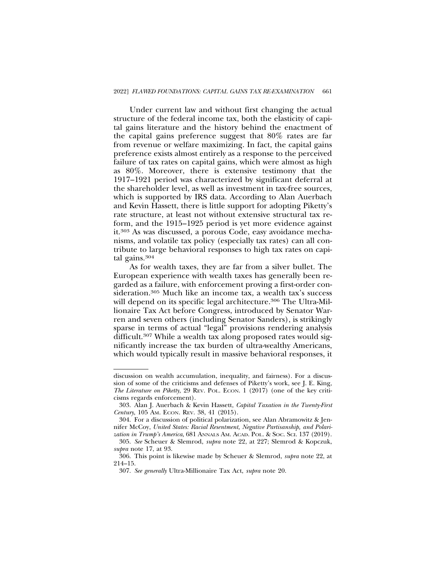Under current law and without first changing the actual structure of the federal income tax, both the elasticity of capital gains literature and the history behind the enactment of the capital gains preference suggest that 80% rates are far from revenue or welfare maximizing. In fact, the capital gains preference exists almost entirely as a response to the perceived failure of tax rates on capital gains, which were almost as high as 80%. Moreover, there is extensive testimony that the 1917–1921 period was characterized by significant deferral at the shareholder level, as well as investment in tax-free sources, which is supported by IRS data. According to Alan Auerbach and Kevin Hassett, there is little support for adopting Piketty's rate structure, at least not without extensive structural tax reform, and the 1915–1925 period is yet more evidence against it.303 As was discussed, a porous Code, easy avoidance mechanisms, and volatile tax policy (especially tax rates) can all contribute to large behavioral responses to high tax rates on capital gains.304

As for wealth taxes, they are far from a silver bullet. The European experience with wealth taxes has generally been regarded as a failure, with enforcement proving a first-order consideration.305 Much like an income tax, a wealth tax's success will depend on its specific legal architecture.<sup>306</sup> The Ultra-Millionaire Tax Act before Congress, introduced by Senator Warren and seven others (including Senator Sanders), is strikingly sparse in terms of actual "legal" provisions rendering analysis difficult.307 While a wealth tax along proposed rates would significantly increase the tax burden of ultra-wealthy Americans, which would typically result in massive behavioral responses, it

discussion on wealth accumulation, inequality, and fairness). For a discussion of some of the criticisms and defenses of Piketty's work, see J. E. King, *The Literature on Piketty*, 29 REV. POL. ECON. 1 (2017) (one of the key criticisms regards enforcement).

<sup>303.</sup> Alan J. Auerbach & Kevin Hassett, *Capital Taxation in the Twenty-First Century*, 105 AM. ECON. REV. 38, 41 (2015).

<sup>304.</sup> For a discussion of political polarization, see Alan Abramowitz & Jennifer McCoy, *United States: Racial Resentment, Negative Partisanship, and Polarization in Trump's America*, 681 ANNALS AM. ACAD. POL. & SOC. SCI. 137 (2019).

<sup>305.</sup> *See* Scheuer & Slemrod, *supra* note 22, at 227; Slemrod & Kopczuk, *supra* note 17, at 93.

<sup>306.</sup> This point is likewise made by Scheuer & Slemrod, *supra* note 22, at 214–15.

<sup>307.</sup> *See generally* Ultra-Millionaire Tax Act, *supra* note 20.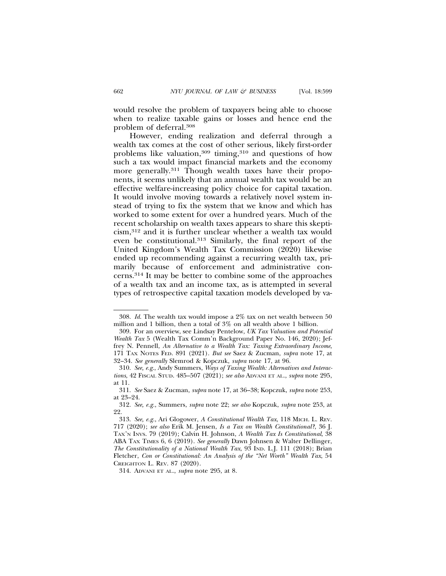would resolve the problem of taxpayers being able to choose when to realize taxable gains or losses and hence end the problem of deferral.308

However, ending realization and deferral through a wealth tax comes at the cost of other serious, likely first-order problems like valuation,<sup>309</sup> timing,<sup>310</sup> and questions of how such a tax would impact financial markets and the economy more generally.<sup>311</sup> Though wealth taxes have their proponents, it seems unlikely that an annual wealth tax would be an effective welfare-increasing policy choice for capital taxation. It would involve moving towards a relatively novel system instead of trying to fix the system that we know and which has worked to some extent for over a hundred years. Much of the recent scholarship on wealth taxes appears to share this skepticism,312 and it is further unclear whether a wealth tax would even be constitutional.313 Similarly, the final report of the United Kingdom's Wealth Tax Commission (2020) likewise ended up recommending against a recurring wealth tax, primarily because of enforcement and administrative concerns.314 It may be better to combine some of the approaches of a wealth tax and an income tax, as is attempted in several types of retrospective capital taxation models developed by va-

<sup>308.</sup> *Id*. The wealth tax would impose a 2% tax on net wealth between 50 million and 1 billion, then a total of 3% on all wealth above 1 billion.

<sup>309.</sup> For an overview, see Lindsay Pentelow, *UK Tax Valuation and Potential Wealth Tax* 5 (Wealth Tax Comm'n Background Paper No. 146, 2020); Jeffrey N. Pennell, *An Alternative to a Wealth Tax: Taxing Extraordinary Income*, 171 TAX NOTES FED. 891 (2021). *But see* Saez & Zucman, *supra* note 17, at 32–34. *See generally* Slemrod & Kopczuk, *supra* note 17, at 96.

<sup>310.</sup> *See, e.g*., Andy Summers, *Ways of Taxing Wealth: Alternatives and Interactions*, 42 FISCAL STUD. 485–507 (2021); *see also* ADVANI ET AL., *supra* note 295, at 11.

<sup>311.</sup> *See* Saez & Zucman, *supra* note 17, at 36–38; Kopczuk, *supra* note 253, at 23–24.

<sup>312.</sup> *See, e.g.*, Summers, *supra* note 22; *see also* Kopczuk, *supra* note 253, at 22.

<sup>313.</sup> *See, e.g.*, Ari Glogower, *A Constitutional Wealth Tax*, 118 MICH. L. REV. 717 (2020); *see also* Erik M. Jensen, *Is a Tax on Wealth Constitutional?*, 36 J. TAX'N INVS. 79 (2019); Calvin H. Johnson, *A Wealth Tax Is Constitutional*, 38 ABA TAX TIMES 6, 6 (2019). *See generally* Dawn Johnsen & Walter Dellinger, *The Constitutionality of a National Wealth Tax*, 93 IND. L.J. 111 (2018); Brian Fletcher, *Con or Constitutional: An Analysis of the "Net Worth" Wealth Tax*, 54 CREIGHTON L. REV. 87 (2020).

<sup>314.</sup> ADVANI ET AL., *supra* note 295, at 8.